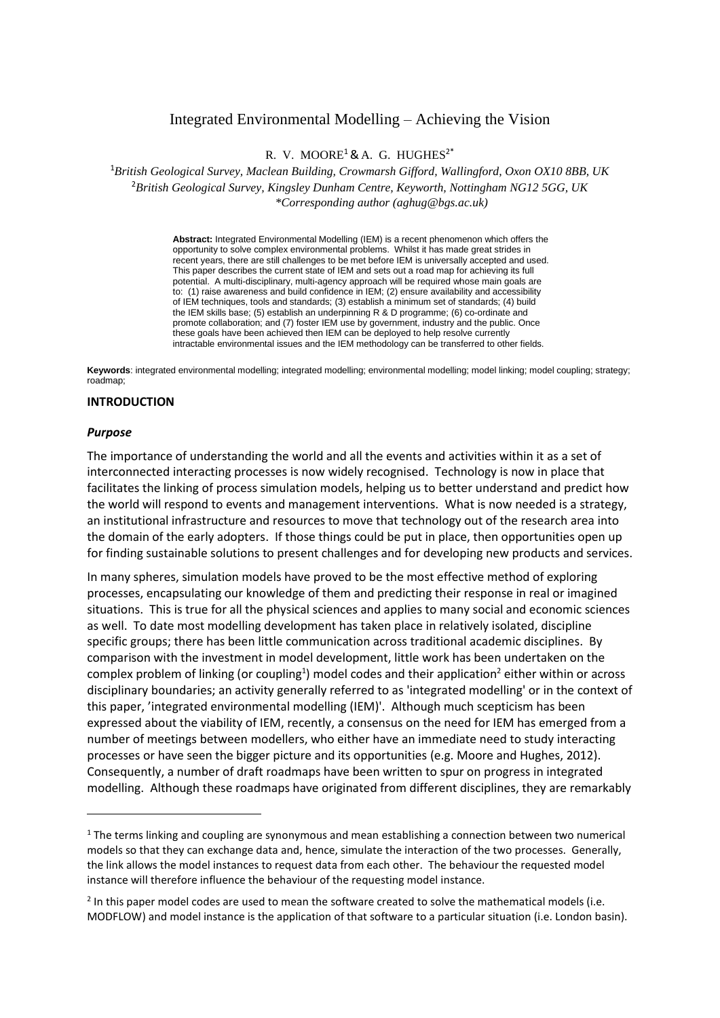# Integrated Environmental Modelling – Achieving the Vision

R. V. MOORE<sup>1</sup> & A. G. HUGHES<sup>2\*</sup>

<sup>1</sup>*British Geological Survey, Maclean Building, Crowmarsh Gifford, Wallingford, Oxon OX10 8BB, UK* <sup>2</sup>*British Geological Survey, Kingsley Dunham Centre, Keyworth, Nottingham NG12 5GG, UK \*Corresponding author (aghug@bgs.ac.uk)*

> **Abstract:** Integrated Environmental Modelling (IEM) is a recent phenomenon which offers the opportunity to solve complex environmental problems. Whilst it has made great strides in recent years, there are still challenges to be met before IEM is universally accepted and used. This paper describes the current state of IEM and sets out a road map for achieving its full potential. A multi-disciplinary, multi-agency approach will be required whose main goals are to: (1) raise awareness and build confidence in IEM; (2) ensure availability and accessibility of IEM techniques, tools and standards; (3) establish a minimum set of standards; (4) build the IEM skills base; (5) establish an underpinning R & D programme; (6) co-ordinate and promote collaboration; and (7) foster IEM use by government, industry and the public. Once these goals have been achieved then IEM can be deployed to help resolve currently intractable environmental issues and the IEM methodology can be transferred to other fields.

**Keywords**: integrated environmental modelling; integrated modelling; environmental modelling; model linking; model coupling; strategy; roadmap;

#### **INTRODUCTION**

#### *Purpose*

**.** 

The importance of understanding the world and all the events and activities within it as a set of interconnected interacting processes is now widely recognised. Technology is now in place that facilitates the linking of process simulation models, helping us to better understand and predict how the world will respond to events and management interventions. What is now needed is a strategy, an institutional infrastructure and resources to move that technology out of the research area into the domain of the early adopters. If those things could be put in place, then opportunities open up for finding sustainable solutions to present challenges and for developing new products and services.

In many spheres, simulation models have proved to be the most effective method of exploring processes, encapsulating our knowledge of them and predicting their response in real or imagined situations. This is true for all the physical sciences and applies to many social and economic sciences as well. To date most modelling development has taken place in relatively isolated, discipline specific groups; there has been little communication across traditional academic disciplines. By comparison with the investment in model development, little work has been undertaken on the complex problem of linking (or coupling<sup>1</sup>) model codes and their application<sup>2</sup> either within or across disciplinary boundaries; an activity generally referred to as 'integrated modelling' or in the context of this paper, 'integrated environmental modelling (IEM)'. Although much scepticism has been expressed about the viability of IEM, recently, a consensus on the need for IEM has emerged from a number of meetings between modellers, who either have an immediate need to study interacting processes or have seen the bigger picture and its opportunities (e.g. Moore and Hughes, 2012). Consequently, a number of draft roadmaps have been written to spur on progress in integrated modelling. Although these roadmaps have originated from different disciplines, they are remarkably

 $1$  The terms linking and coupling are synonymous and mean establishing a connection between two numerical models so that they can exchange data and, hence, simulate the interaction of the two processes. Generally, the link allows the model instances to request data from each other. The behaviour the requested model instance will therefore influence the behaviour of the requesting model instance.

<sup>&</sup>lt;sup>2</sup> In this paper model codes are used to mean the software created to solve the mathematical models (i.e. MODFLOW) and model instance is the application of that software to a particular situation (i.e. London basin).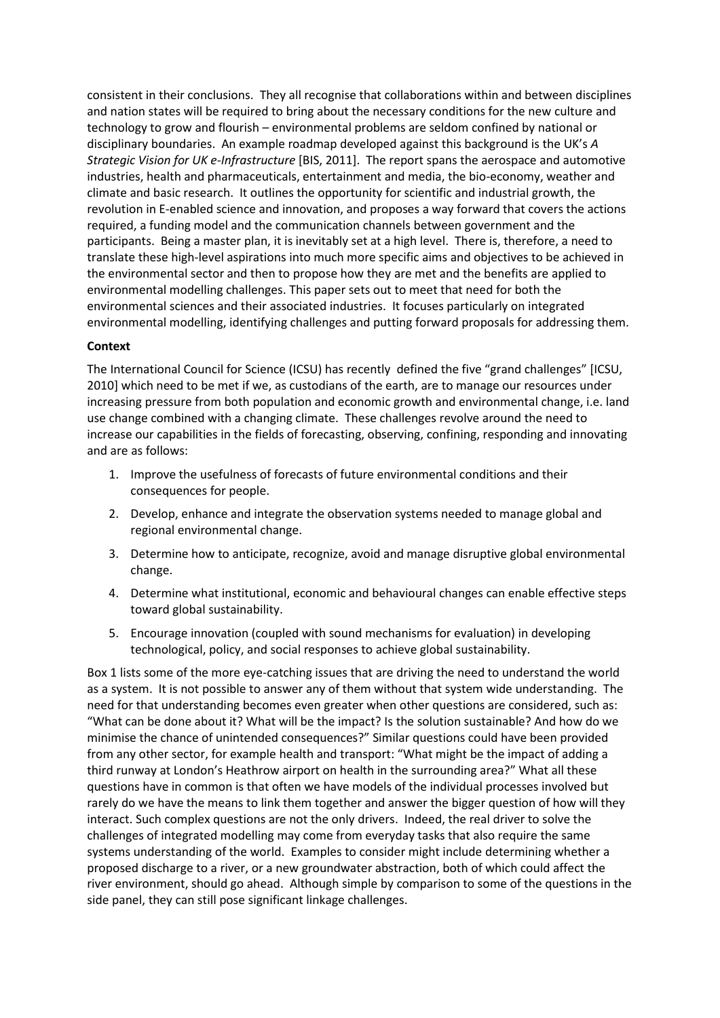consistent in their conclusions. They all recognise that collaborations within and between disciplines and nation states will be required to bring about the necessary conditions for the new culture and technology to grow and flourish – environmental problems are seldom confined by national or disciplinary boundaries. An example roadmap developed against this background is the UK's *A Strategic Vision for UK e-Infrastructure* [BIS, 2011]. The report spans the aerospace and automotive industries, health and pharmaceuticals, entertainment and media, the bio-economy, weather and climate and basic research. It outlines the opportunity for scientific and industrial growth, the revolution in E-enabled science and innovation, and proposes a way forward that covers the actions required, a funding model and the communication channels between government and the participants. Being a master plan, it is inevitably set at a high level. There is, therefore, a need to translate these high-level aspirations into much more specific aims and objectives to be achieved in the environmental sector and then to propose how they are met and the benefits are applied to environmental modelling challenges. This paper sets out to meet that need for both the environmental sciences and their associated industries. It focuses particularly on integrated environmental modelling, identifying challenges and putting forward proposals for addressing them.

## **Context**

The International Council for Science (ICSU) has recently defined the five "grand challenges" [ICSU, 2010] which need to be met if we, as custodians of the earth, are to manage our resources under increasing pressure from both population and economic growth and environmental change, i.e. land use change combined with a changing climate. These challenges revolve around the need to increase our capabilities in the fields of forecasting, observing, confining, responding and innovating and are as follows:

- 1. Improve the usefulness of forecasts of future environmental conditions and their consequences for people.
- 2. Develop, enhance and integrate the observation systems needed to manage global and regional environmental change.
- 3. Determine how to anticipate, recognize, avoid and manage disruptive global environmental change.
- 4. Determine what institutional, economic and behavioural changes can enable effective steps toward global sustainability.
- 5. Encourage innovation (coupled with sound mechanisms for evaluation) in developing technological, policy, and social responses to achieve global sustainability.

Box 1 lists some of the more eye-catching issues that are driving the need to understand the world as a system. It is not possible to answer any of them without that system wide understanding. The need for that understanding becomes even greater when other questions are considered, such as: "What can be done about it? What will be the impact? Is the solution sustainable? And how do we minimise the chance of unintended consequences?" Similar questions could have been provided from any other sector, for example health and transport: "What might be the impact of adding a third runway at London's Heathrow airport on health in the surrounding area?" What all these questions have in common is that often we have models of the individual processes involved but rarely do we have the means to link them together and answer the bigger question of how will they interact. Such complex questions are not the only drivers. Indeed, the real driver to solve the challenges of integrated modelling may come from everyday tasks that also require the same systems understanding of the world. Examples to consider might include determining whether a proposed discharge to a river, or a new groundwater abstraction, both of which could affect the river environment, should go ahead. Although simple by comparison to some of the questions in the side panel, they can still pose significant linkage challenges.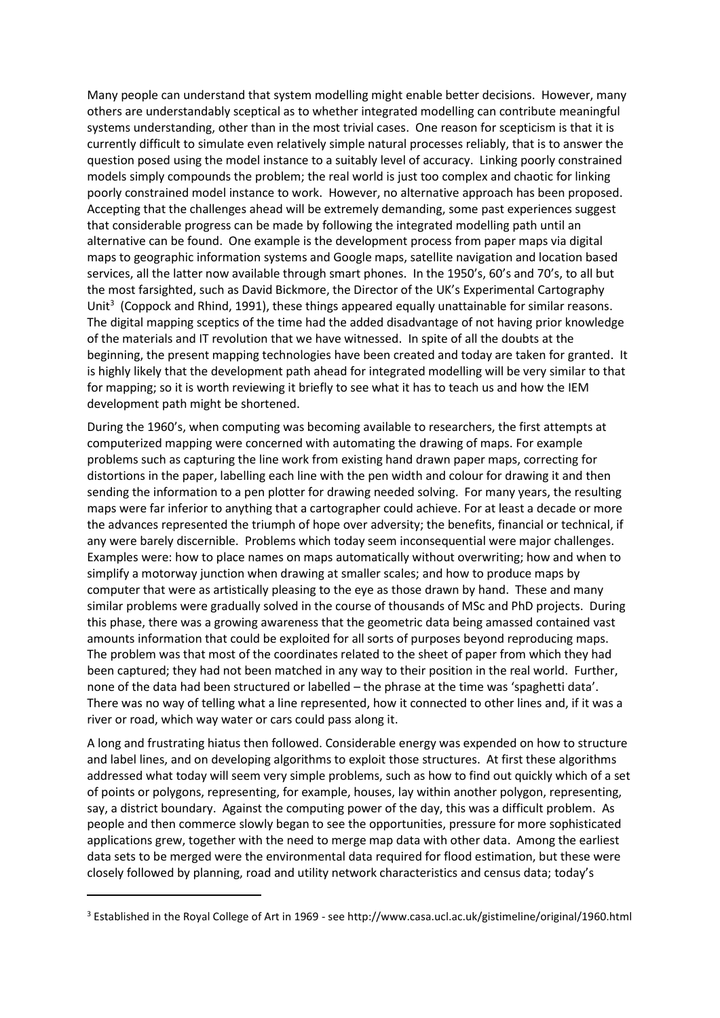Many people can understand that system modelling might enable better decisions. However, many others are understandably sceptical as to whether integrated modelling can contribute meaningful systems understanding, other than in the most trivial cases. One reason for scepticism is that it is currently difficult to simulate even relatively simple natural processes reliably, that is to answer the question posed using the model instance to a suitably level of accuracy. Linking poorly constrained models simply compounds the problem; the real world is just too complex and chaotic for linking poorly constrained model instance to work. However, no alternative approach has been proposed. Accepting that the challenges ahead will be extremely demanding, some past experiences suggest that considerable progress can be made by following the integrated modelling path until an alternative can be found. One example is the development process from paper maps via digital maps to geographic information systems and Google maps, satellite navigation and location based services, all the latter now available through smart phones. In the 1950's, 60's and 70's, to all but the most farsighted, such as David Bickmore, the Director of the UK's Experimental Cartography Unit<sup>3</sup> (Coppock and Rhind, 1991), these things appeared equally unattainable for similar reasons. The digital mapping sceptics of the time had the added disadvantage of not having prior knowledge of the materials and IT revolution that we have witnessed. In spite of all the doubts at the beginning, the present mapping technologies have been created and today are taken for granted. It is highly likely that the development path ahead for integrated modelling will be very similar to that for mapping; so it is worth reviewing it briefly to see what it has to teach us and how the IEM development path might be shortened.

During the 1960's, when computing was becoming available to researchers, the first attempts at computerized mapping were concerned with automating the drawing of maps. For example problems such as capturing the line work from existing hand drawn paper maps, correcting for distortions in the paper, labelling each line with the pen width and colour for drawing it and then sending the information to a pen plotter for drawing needed solving. For many years, the resulting maps were far inferior to anything that a cartographer could achieve. For at least a decade or more the advances represented the triumph of hope over adversity; the benefits, financial or technical, if any were barely discernible. Problems which today seem inconsequential were major challenges. Examples were: how to place names on maps automatically without overwriting; how and when to simplify a motorway junction when drawing at smaller scales; and how to produce maps by computer that were as artistically pleasing to the eye as those drawn by hand. These and many similar problems were gradually solved in the course of thousands of MSc and PhD projects. During this phase, there was a growing awareness that the geometric data being amassed contained vast amounts information that could be exploited for all sorts of purposes beyond reproducing maps. The problem was that most of the coordinates related to the sheet of paper from which they had been captured; they had not been matched in any way to their position in the real world. Further, none of the data had been structured or labelled – the phrase at the time was 'spaghetti data'. There was no way of telling what a line represented, how it connected to other lines and, if it was a river or road, which way water or cars could pass along it.

A long and frustrating hiatus then followed. Considerable energy was expended on how to structure and label lines, and on developing algorithms to exploit those structures. At first these algorithms addressed what today will seem very simple problems, such as how to find out quickly which of a set of points or polygons, representing, for example, houses, lay within another polygon, representing, say, a district boundary. Against the computing power of the day, this was a difficult problem. As people and then commerce slowly began to see the opportunities, pressure for more sophisticated applications grew, together with the need to merge map data with other data. Among the earliest data sets to be merged were the environmental data required for flood estimation, but these were closely followed by planning, road and utility network characteristics and census data; today's

**.** 

<sup>3</sup> Established in the Royal College of Art in 1969 - see http://www.casa.ucl.ac.uk/gistimeline/original/1960.html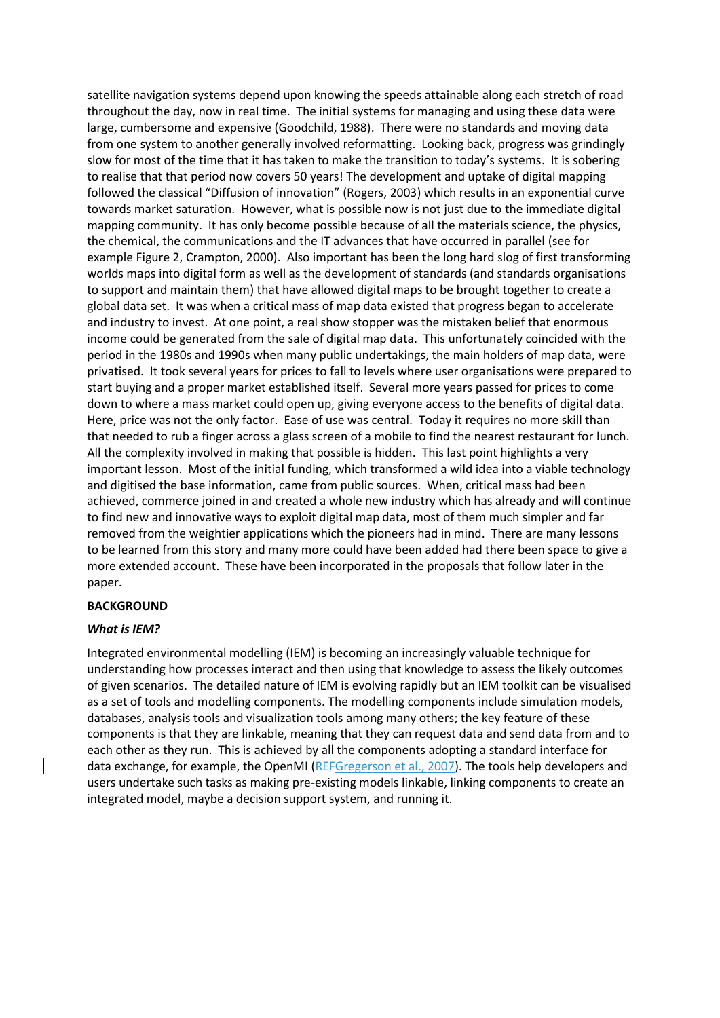satellite navigation systems depend upon knowing the speeds attainable along each stretch of road throughout the day, now in real time. The initial systems for managing and using these data were large, cumbersome and expensive (Goodchild, 1988). There were no standards and moving data from one system to another generally involved reformatting. Looking back, progress was grindingly slow for most of the time that it has taken to make the transition to today's systems. It is sobering to realise that that period now covers 50 years! The development and uptake of digital mapping followed the classical "Diffusion of innovation" (Rogers, 2003) which results in an exponential curve towards market saturation. However, what is possible now is not just due to the immediate digital mapping community. It has only become possible because of all the materials science, the physics, the chemical, the communications and the IT advances that have occurred in parallel (see for example Figure 2, Crampton, 2000). Also important has been the long hard slog of first transforming worlds maps into digital form as well as the development of standards (and standards organisations to support and maintain them) that have allowed digital maps to be brought together to create a global data set. It was when a critical mass of map data existed that progress began to accelerate and industry to invest. At one point, a real show stopper was the mistaken belief that enormous income could be generated from the sale of digital map data. This unfortunately coincided with the period in the 1980s and 1990s when many public undertakings, the main holders of map data, were privatised. It took several years for prices to fall to levels where user organisations were prepared to start buying and a proper market established itself. Several more years passed for prices to come down to where a mass market could open up, giving everyone access to the benefits of digital data. Here, price was not the only factor. Ease of use was central. Today it requires no more skill than that needed to rub a finger across a glass screen of a mobile to find the nearest restaurant for lunch. All the complexity involved in making that possible is hidden. This last point highlights a very important lesson. Most of the initial funding, which transformed a wild idea into a viable technology and digitised the base information, came from public sources. When, critical mass had been achieved, commerce joined in and created a whole new industry which has already and will continue to find new and innovative ways to exploit digital map data, most of them much simpler and far removed from the weightier applications which the pioneers had in mind. There are many lessons to be learned from this story and many more could have been added had there been space to give a more extended account. These have been incorporated in the proposals that follow later in the paper.

#### **BACKGROUND**

## *What is IEM?*

Integrated environmental modelling (IEM) is becoming an increasingly valuable technique for understanding how processes interact and then using that knowledge to assess the likely outcomes of given scenarios. The detailed nature of IEM is evolving rapidly but an IEM toolkit can be visualised as a set of tools and modelling components. The modelling components include simulation models, databases, analysis tools and visualization tools among many others; the key feature of these components is that they are linkable, meaning that they can request data and send data from and to each other as they run. This is achieved by all the components adopting a standard interface for data exchange, for example, the OpenMI (REFGregerson et al., 2007). The tools help developers and users undertake such tasks as making pre-existing models linkable, linking components to create an integrated model, maybe a decision support system, and running it.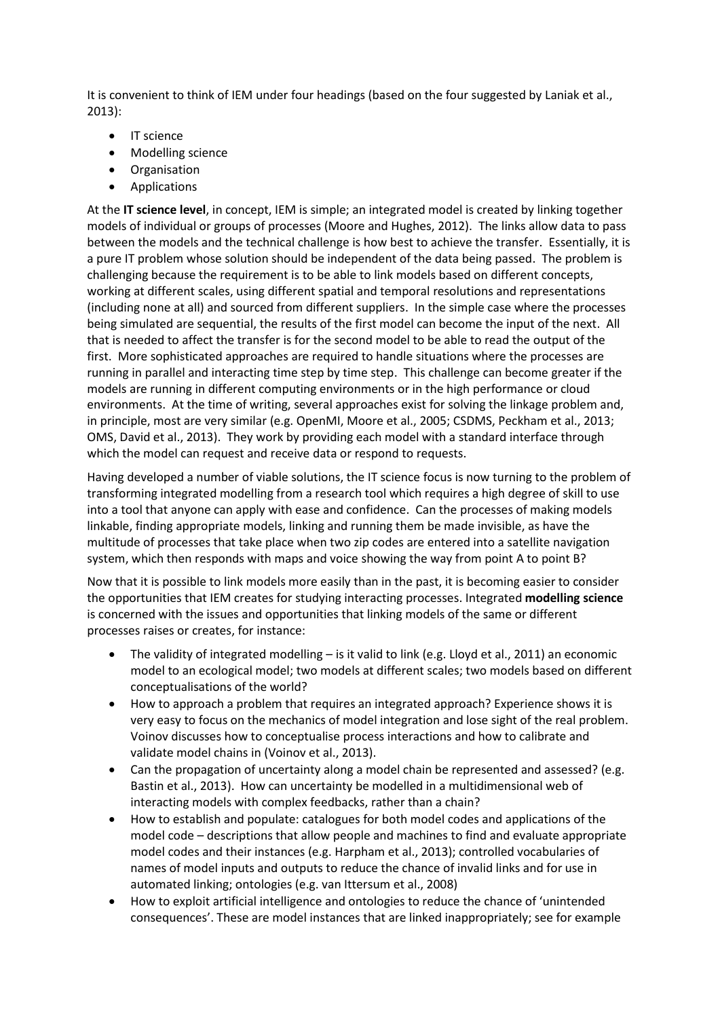It is convenient to think of IEM under four headings (based on the four suggested by Laniak et al., 2013):

- IT science
- Modelling science
- Organisation
- Applications

At the **IT science level**, in concept, IEM is simple; an integrated model is created by linking together models of individual or groups of processes (Moore and Hughes, 2012). The links allow data to pass between the models and the technical challenge is how best to achieve the transfer. Essentially, it is a pure IT problem whose solution should be independent of the data being passed. The problem is challenging because the requirement is to be able to link models based on different concepts, working at different scales, using different spatial and temporal resolutions and representations (including none at all) and sourced from different suppliers. In the simple case where the processes being simulated are sequential, the results of the first model can become the input of the next. All that is needed to affect the transfer is for the second model to be able to read the output of the first. More sophisticated approaches are required to handle situations where the processes are running in parallel and interacting time step by time step. This challenge can become greater if the models are running in different computing environments or in the high performance or cloud environments. At the time of writing, several approaches exist for solving the linkage problem and, in principle, most are very similar (e.g. OpenMI, Moore et al., 2005; CSDMS, Peckham et al., 2013; OMS, David et al., 2013). They work by providing each model with a standard interface through which the model can request and receive data or respond to requests.

Having developed a number of viable solutions, the IT science focus is now turning to the problem of transforming integrated modelling from a research tool which requires a high degree of skill to use into a tool that anyone can apply with ease and confidence. Can the processes of making models linkable, finding appropriate models, linking and running them be made invisible, as have the multitude of processes that take place when two zip codes are entered into a satellite navigation system, which then responds with maps and voice showing the way from point A to point B?

Now that it is possible to link models more easily than in the past, it is becoming easier to consider the opportunities that IEM creates for studying interacting processes. Integrated **modelling science** is concerned with the issues and opportunities that linking models of the same or different processes raises or creates, for instance:

- The validity of integrated modelling is it valid to link (e.g. Lloyd et al., 2011) an economic model to an ecological model; two models at different scales; two models based on different conceptualisations of the world?
- How to approach a problem that requires an integrated approach? Experience shows it is very easy to focus on the mechanics of model integration and lose sight of the real problem. Voinov discusses how to conceptualise process interactions and how to calibrate and validate model chains in (Voinov et al., 2013).
- Can the propagation of uncertainty along a model chain be represented and assessed? (e.g. Bastin et al., 2013). How can uncertainty be modelled in a multidimensional web of interacting models with complex feedbacks, rather than a chain?
- How to establish and populate: catalogues for both model codes and applications of the model code – descriptions that allow people and machines to find and evaluate appropriate model codes and their instances (e.g. Harpham et al., 2013); controlled vocabularies of names of model inputs and outputs to reduce the chance of invalid links and for use in automated linking; ontologies (e.g. van Ittersum et al., 2008)
- How to exploit artificial intelligence and ontologies to reduce the chance of 'unintended consequences'. These are model instances that are linked inappropriately; see for example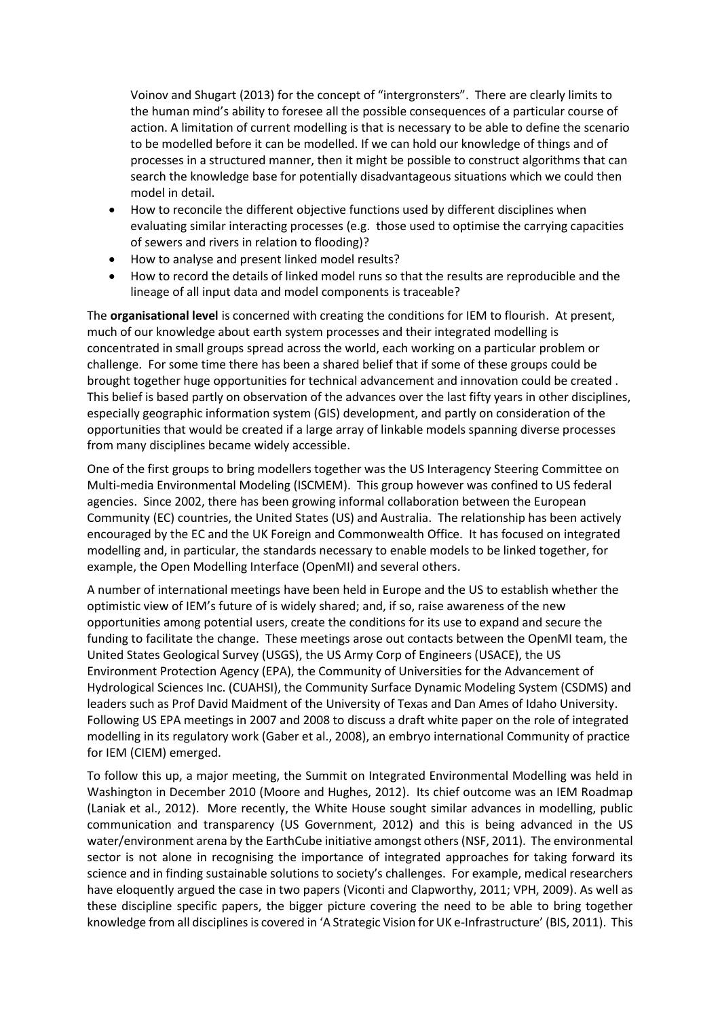Voinov and Shugart (2013) for the concept of "intergronsters". There are clearly limits to the human mind's ability to foresee all the possible consequences of a particular course of action. A limitation of current modelling is that is necessary to be able to define the scenario to be modelled before it can be modelled. If we can hold our knowledge of things and of processes in a structured manner, then it might be possible to construct algorithms that can search the knowledge base for potentially disadvantageous situations which we could then model in detail.

- How to reconcile the different objective functions used by different disciplines when evaluating similar interacting processes (e.g. those used to optimise the carrying capacities of sewers and rivers in relation to flooding)?
- How to analyse and present linked model results?
- How to record the details of linked model runs so that the results are reproducible and the lineage of all input data and model components is traceable?

The **organisational level** is concerned with creating the conditions for IEM to flourish. At present, much of our knowledge about earth system processes and their integrated modelling is concentrated in small groups spread across the world, each working on a particular problem or challenge. For some time there has been a shared belief that if some of these groups could be brought together huge opportunities for technical advancement and innovation could be created . This belief is based partly on observation of the advances over the last fifty years in other disciplines, especially geographic information system (GIS) development, and partly on consideration of the opportunities that would be created if a large array of linkable models spanning diverse processes from many disciplines became widely accessible.

One of the first groups to bring modellers together was the US Interagency Steering Committee on Multi-media Environmental Modeling (ISCMEM). This group however was confined to US federal agencies. Since 2002, there has been growing informal collaboration between the European Community (EC) countries, the United States (US) and Australia. The relationship has been actively encouraged by the EC and the UK Foreign and Commonwealth Office. It has focused on integrated modelling and, in particular, the standards necessary to enable models to be linked together, for example, the Open Modelling Interface (OpenMI) and several others.

A number of international meetings have been held in Europe and the US to establish whether the optimistic view of IEM's future of is widely shared; and, if so, raise awareness of the new opportunities among potential users, create the conditions for its use to expand and secure the funding to facilitate the change. These meetings arose out contacts between the OpenMI team, the United States Geological Survey (USGS), the US Army Corp of Engineers (USACE), the US Environment Protection Agency (EPA), the Community of Universities for the Advancement of Hydrological Sciences Inc. (CUAHSI), the Community Surface Dynamic Modeling System (CSDMS) and leaders such as Prof David Maidment of the University of Texas and Dan Ames of Idaho University. Following US EPA meetings in 2007 and 2008 to discuss a draft white paper on the role of integrated modelling in its regulatory work (Gaber et al., 2008), an embryo international Community of practice for IEM (CIEM) emerged.

To follow this up, a major meeting, the Summit on Integrated Environmental Modelling was held in Washington in December 2010 (Moore and Hughes, 2012). Its chief outcome was an IEM Roadmap (Laniak et al., 2012). More recently, the White House sought similar advances in modelling, public communication and transparency (US Government, 2012) and this is being advanced in the US water/environment arena by the EarthCube initiative amongst others(NSF, 2011). The environmental sector is not alone in recognising the importance of integrated approaches for taking forward its science and in finding sustainable solutions to society's challenges. For example, medical researchers have eloquently argued the case in two papers (Viconti and Clapworthy, 2011; VPH, 2009). As well as these discipline specific papers, the bigger picture covering the need to be able to bring together knowledge from all disciplines is covered in 'A Strategic Vision for UK e-Infrastructure' (BIS, 2011). This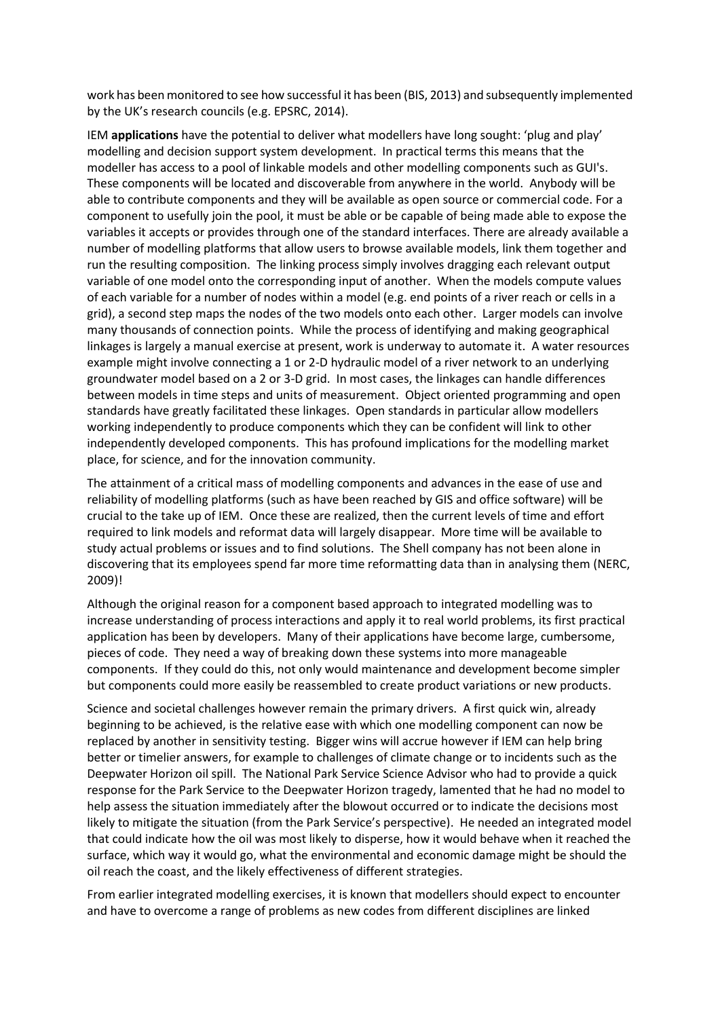work has been monitored to see how successful it has been (BIS, 2013) and subsequently implemented by the UK's research councils (e.g. EPSRC, 2014).

IEM **applications** have the potential to deliver what modellers have long sought: 'plug and play' modelling and decision support system development. In practical terms this means that the modeller has access to a pool of linkable models and other modelling components such as GUI's. These components will be located and discoverable from anywhere in the world. Anybody will be able to contribute components and they will be available as open source or commercial code. For a component to usefully join the pool, it must be able or be capable of being made able to expose the variables it accepts or provides through one of the standard interfaces. There are already available a number of modelling platforms that allow users to browse available models, link them together and run the resulting composition. The linking process simply involves dragging each relevant output variable of one model onto the corresponding input of another. When the models compute values of each variable for a number of nodes within a model (e.g. end points of a river reach or cells in a grid), a second step maps the nodes of the two models onto each other. Larger models can involve many thousands of connection points. While the process of identifying and making geographical linkages is largely a manual exercise at present, work is underway to automate it. A water resources example might involve connecting a 1 or 2-D hydraulic model of a river network to an underlying groundwater model based on a 2 or 3-D grid. In most cases, the linkages can handle differences between models in time steps and units of measurement. Object oriented programming and open standards have greatly facilitated these linkages. Open standards in particular allow modellers working independently to produce components which they can be confident will link to other independently developed components. This has profound implications for the modelling market place, for science, and for the innovation community.

The attainment of a critical mass of modelling components and advances in the ease of use and reliability of modelling platforms (such as have been reached by GIS and office software) will be crucial to the take up of IEM. Once these are realized, then the current levels of time and effort required to link models and reformat data will largely disappear. More time will be available to study actual problems or issues and to find solutions. The Shell company has not been alone in discovering that its employees spend far more time reformatting data than in analysing them (NERC, 2009)!

Although the original reason for a component based approach to integrated modelling was to increase understanding of process interactions and apply it to real world problems, its first practical application has been by developers. Many of their applications have become large, cumbersome, pieces of code. They need a way of breaking down these systems into more manageable components. If they could do this, not only would maintenance and development become simpler but components could more easily be reassembled to create product variations or new products.

Science and societal challenges however remain the primary drivers. A first quick win, already beginning to be achieved, is the relative ease with which one modelling component can now be replaced by another in sensitivity testing. Bigger wins will accrue however if IEM can help bring better or timelier answers, for example to challenges of climate change or to incidents such as the Deepwater Horizon oil spill. The National Park Service Science Advisor who had to provide a quick response for the Park Service to the Deepwater Horizon tragedy, lamented that he had no model to help assess the situation immediately after the blowout occurred or to indicate the decisions most likely to mitigate the situation (from the Park Service's perspective). He needed an integrated model that could indicate how the oil was most likely to disperse, how it would behave when it reached the surface, which way it would go, what the environmental and economic damage might be should the oil reach the coast, and the likely effectiveness of different strategies.

From earlier integrated modelling exercises, it is known that modellers should expect to encounter and have to overcome a range of problems as new codes from different disciplines are linked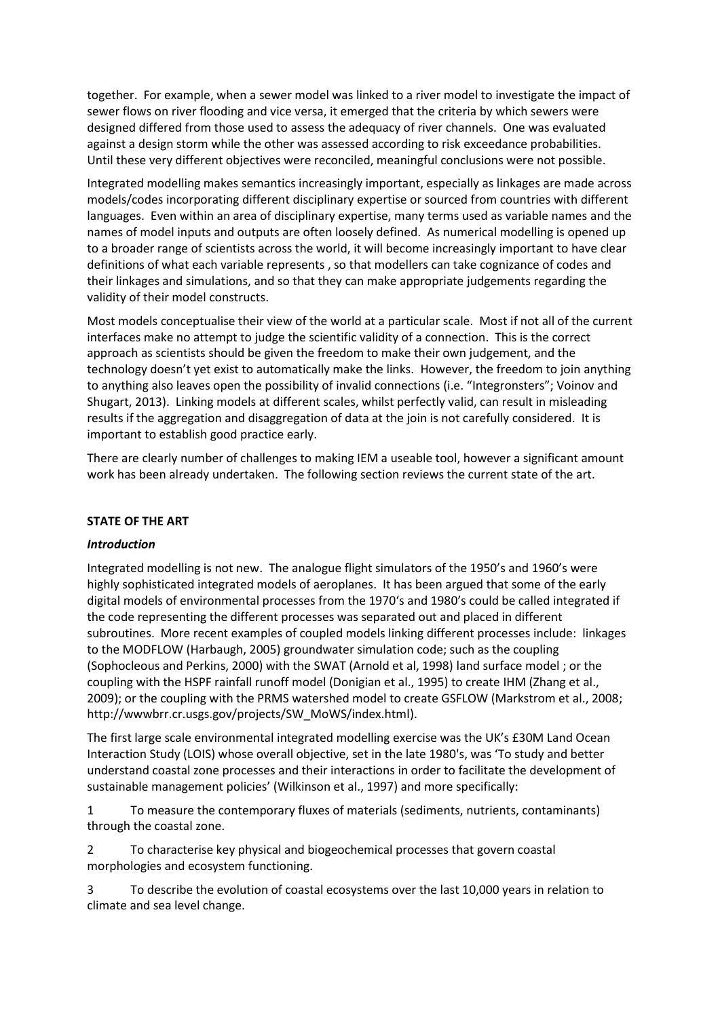together. For example, when a sewer model was linked to a river model to investigate the impact of sewer flows on river flooding and vice versa, it emerged that the criteria by which sewers were designed differed from those used to assess the adequacy of river channels. One was evaluated against a design storm while the other was assessed according to risk exceedance probabilities. Until these very different objectives were reconciled, meaningful conclusions were not possible.

Integrated modelling makes semantics increasingly important, especially as linkages are made across models/codes incorporating different disciplinary expertise or sourced from countries with different languages. Even within an area of disciplinary expertise, many terms used as variable names and the names of model inputs and outputs are often loosely defined. As numerical modelling is opened up to a broader range of scientists across the world, it will become increasingly important to have clear definitions of what each variable represents , so that modellers can take cognizance of codes and their linkages and simulations, and so that they can make appropriate judgements regarding the validity of their model constructs.

Most models conceptualise their view of the world at a particular scale. Most if not all of the current interfaces make no attempt to judge the scientific validity of a connection. This is the correct approach as scientists should be given the freedom to make their own judgement, and the technology doesn't yet exist to automatically make the links. However, the freedom to join anything to anything also leaves open the possibility of invalid connections (i.e. "Integronsters"; Voinov and Shugart, 2013). Linking models at different scales, whilst perfectly valid, can result in misleading results if the aggregation and disaggregation of data at the join is not carefully considered. It is important to establish good practice early.

There are clearly number of challenges to making IEM a useable tool, however a significant amount work has been already undertaken. The following section reviews the current state of the art.

# **STATE OF THE ART**

## *Introduction*

Integrated modelling is not new. The analogue flight simulators of the 1950's and 1960's were highly sophisticated integrated models of aeroplanes. It has been argued that some of the early digital models of environmental processes from the 1970's and 1980's could be called integrated if the code representing the different processes was separated out and placed in different subroutines. More recent examples of coupled models linking different processes include: linkages to the MODFLOW (Harbaugh, 2005) groundwater simulation code; such as the coupling (Sophocleous and Perkins, 2000) with the SWAT (Arnold et al, 1998) land surface model ; or the coupling with the HSPF rainfall runoff model (Donigian et al., 1995) to create IHM (Zhang et al., 2009); or the coupling with the PRMS watershed model to create GSFLOW (Markstrom et al., 2008; http://wwwbrr.cr.usgs.gov/projects/SW\_MoWS/index.html).

The first large scale environmental integrated modelling exercise was the UK's £30M Land Ocean Interaction Study (LOIS) whose overall objective, set in the late 1980's, was 'To study and better understand coastal zone processes and their interactions in order to facilitate the development of sustainable management policies' (Wilkinson et al., 1997) and more specifically:

1 To measure the contemporary fluxes of materials (sediments, nutrients, contaminants) through the coastal zone.

2 To characterise key physical and biogeochemical processes that govern coastal morphologies and ecosystem functioning.

3 To describe the evolution of coastal ecosystems over the last 10,000 years in relation to climate and sea level change.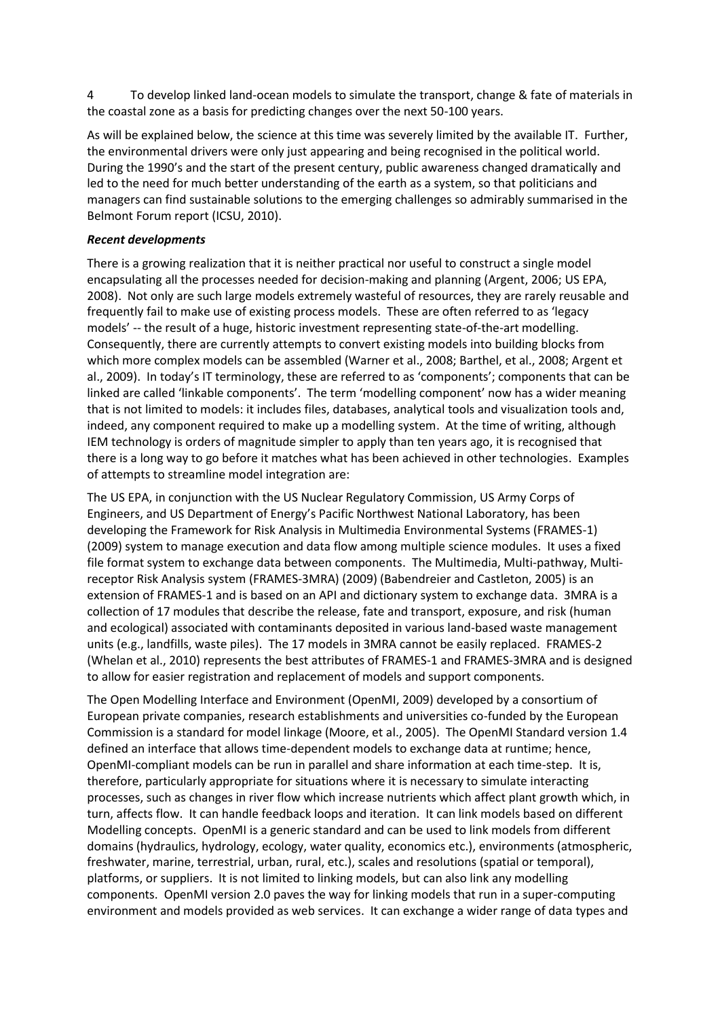4 To develop linked land-ocean models to simulate the transport, change & fate of materials in the coastal zone as a basis for predicting changes over the next 50-100 years.

As will be explained below, the science at this time was severely limited by the available IT. Further, the environmental drivers were only just appearing and being recognised in the political world. During the 1990's and the start of the present century, public awareness changed dramatically and led to the need for much better understanding of the earth as a system, so that politicians and managers can find sustainable solutions to the emerging challenges so admirably summarised in the Belmont Forum report (ICSU, 2010).

#### *Recent developments*

There is a growing realization that it is neither practical nor useful to construct a single model encapsulating all the processes needed for decision-making and planning (Argent, 2006; US EPA, 2008). Not only are such large models extremely wasteful of resources, they are rarely reusable and frequently fail to make use of existing process models. These are often referred to as 'legacy models' -- the result of a huge, historic investment representing state-of-the-art modelling. Consequently, there are currently attempts to convert existing models into building blocks from which more complex models can be assembled (Warner et al., 2008; Barthel, et al., 2008; Argent et al., 2009). In today's IT terminology, these are referred to as 'components'; components that can be linked are called 'linkable components'. The term 'modelling component' now has a wider meaning that is not limited to models: it includes files, databases, analytical tools and visualization tools and, indeed, any component required to make up a modelling system. At the time of writing, although IEM technology is orders of magnitude simpler to apply than ten years ago, it is recognised that there is a long way to go before it matches what has been achieved in other technologies. Examples of attempts to streamline model integration are:

The US EPA, in conjunction with the US Nuclear Regulatory Commission, US Army Corps of Engineers, and US Department of Energy's Pacific Northwest National Laboratory, has been developing the Framework for Risk Analysis in Multimedia Environmental Systems (FRAMES-1) (2009) system to manage execution and data flow among multiple science modules. It uses a fixed file format system to exchange data between components. The Multimedia, Multi-pathway, Multireceptor Risk Analysis system (FRAMES-3MRA) (2009) (Babendreier and Castleton, 2005) is an extension of FRAMES-1 and is based on an API and dictionary system to exchange data. 3MRA is a collection of 17 modules that describe the release, fate and transport, exposure, and risk (human and ecological) associated with contaminants deposited in various land-based waste management units (e.g., landfills, waste piles). The 17 models in 3MRA cannot be easily replaced. FRAMES-2 (Whelan et al., 2010) represents the best attributes of FRAMES-1 and FRAMES-3MRA and is designed to allow for easier registration and replacement of models and support components.

The Open Modelling Interface and Environment (OpenMI, 2009) developed by a consortium of European private companies, research establishments and universities co-funded by the European Commission is a standard for model linkage (Moore, et al., 2005). The OpenMI Standard version 1.4 defined an interface that allows time-dependent models to exchange data at runtime; hence, OpenMI-compliant models can be run in parallel and share information at each time-step. It is, therefore, particularly appropriate for situations where it is necessary to simulate interacting processes, such as changes in river flow which increase nutrients which affect plant growth which, in turn, affects flow. It can handle feedback loops and iteration. It can link models based on different Modelling concepts. OpenMI is a generic standard and can be used to link models from different domains (hydraulics, hydrology, ecology, water quality, economics etc.), environments (atmospheric, freshwater, marine, terrestrial, urban, rural, etc.), scales and resolutions (spatial or temporal), platforms, or suppliers. It is not limited to linking models, but can also link any modelling components. OpenMI version 2.0 paves the way for linking models that run in a super-computing environment and models provided as web services. It can exchange a wider range of data types and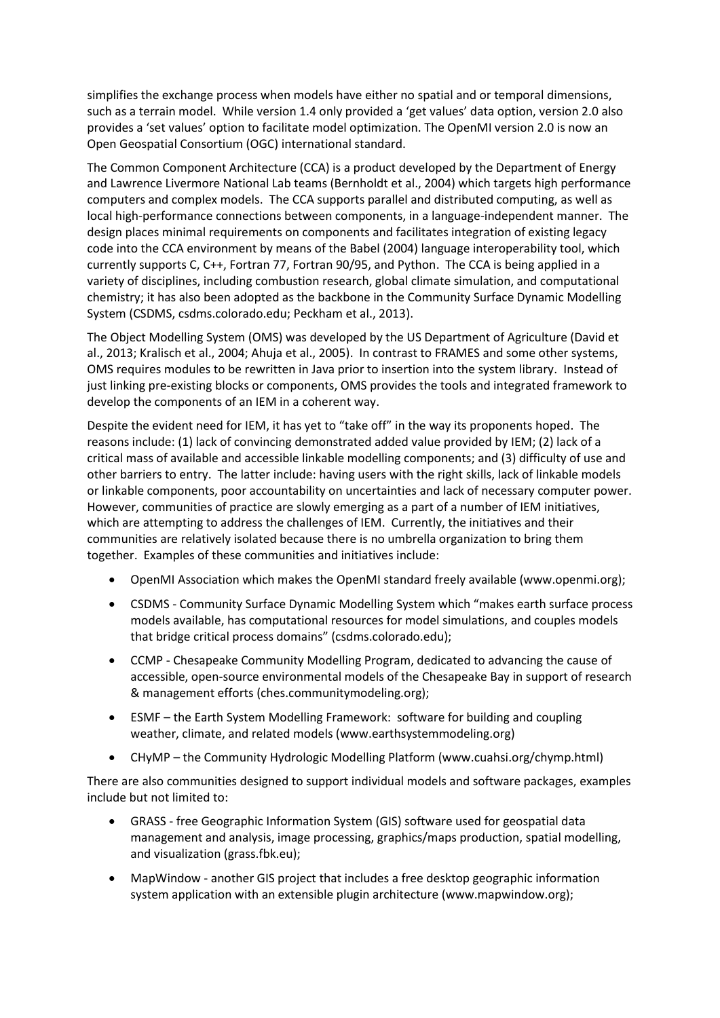simplifies the exchange process when models have either no spatial and or temporal dimensions, such as a terrain model. While version 1.4 only provided a 'get values' data option, version 2.0 also provides a 'set values' option to facilitate model optimization. The OpenMI version 2.0 is now an Open Geospatial Consortium (OGC) international standard.

The Common Component Architecture (CCA) is a product developed by the Department of Energy and Lawrence Livermore National Lab teams (Bernholdt et al., 2004) which targets high performance computers and complex models. The CCA supports parallel and distributed computing, as well as local high-performance connections between components, in a language-independent manner. The design places minimal requirements on components and facilitates integration of existing legacy code into the CCA environment by means of the Babel (2004) language interoperability tool, which currently supports C, C++, Fortran 77, Fortran 90/95, and Python. The CCA is being applied in a variety of disciplines, including combustion research, global climate simulation, and computational chemistry; it has also been adopted as the backbone in the Community Surface Dynamic Modelling System (CSDMS, csdms.colorado.edu; Peckham et al., 2013).

The Object Modelling System (OMS) was developed by the US Department of Agriculture (David et al., 2013; Kralisch et al., 2004; Ahuja et al., 2005). In contrast to FRAMES and some other systems, OMS requires modules to be rewritten in Java prior to insertion into the system library. Instead of just linking pre-existing blocks or components, OMS provides the tools and integrated framework to develop the components of an IEM in a coherent way.

Despite the evident need for IEM, it has yet to "take off" in the way its proponents hoped. The reasons include: (1) lack of convincing demonstrated added value provided by IEM; (2) lack of a critical mass of available and accessible linkable modelling components; and (3) difficulty of use and other barriers to entry. The latter include: having users with the right skills, lack of linkable models or linkable components, poor accountability on uncertainties and lack of necessary computer power. However, communities of practice are slowly emerging as a part of a number of IEM initiatives, which are attempting to address the challenges of IEM. Currently, the initiatives and their communities are relatively isolated because there is no umbrella organization to bring them together. Examples of these communities and initiatives include:

- OpenMI Association which makes the OpenMI standard freely available (www.openmi.org);
- CSDMS Community Surface Dynamic Modelling System which "makes earth surface process models available, has computational resources for model simulations, and couples models that bridge critical process domains" (csdms.colorado.edu);
- CCMP Chesapeake Community Modelling Program, dedicated to advancing the cause of accessible, open-source environmental models of the Chesapeake Bay in support of research & management efforts (ches.communitymodeling.org);
- ESMF the Earth System Modelling Framework: software for building and coupling weather, climate, and related models (www.earthsystemmodeling.org)
- CHyMP the Community Hydrologic Modelling Platform (www.cuahsi.org/chymp.html)

There are also communities designed to support individual models and software packages, examples include but not limited to:

- GRASS free Geographic Information System (GIS) software used for geospatial data management and analysis, image processing, graphics/maps production, spatial modelling, and visualization (grass.fbk.eu);
- MapWindow another GIS project that includes a free desktop geographic information system application with an extensible plugin architecture (www.mapwindow.org);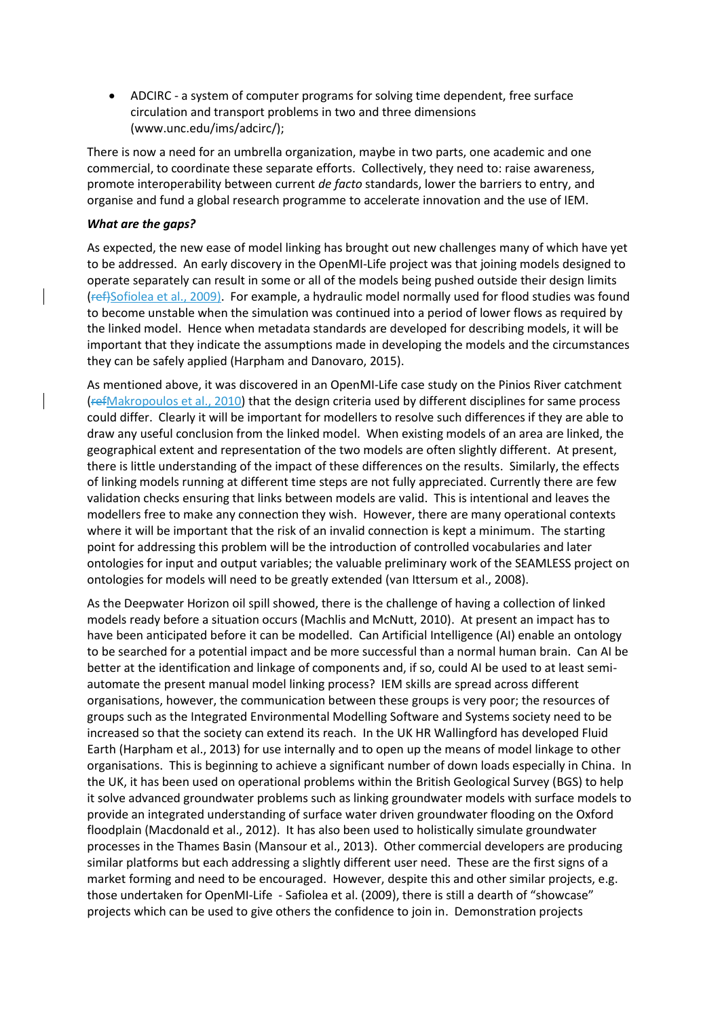ADCIRC - a system of computer programs for solving time dependent, free surface circulation and transport problems in two and three dimensions (www.unc.edu/ims/adcirc/);

There is now a need for an umbrella organization, maybe in two parts, one academic and one commercial, to coordinate these separate efforts. Collectively, they need to: raise awareness, promote interoperability between current *de facto* standards, lower the barriers to entry, and organise and fund a global research programme to accelerate innovation and the use of IEM.

#### *What are the gaps?*

As expected, the new ease of model linking has brought out new challenges many of which have yet to be addressed. An early discovery in the OpenMI-Life project was that joining models designed to operate separately can result in some or all of the models being pushed outside their design limits (ref)Sofiolea et al., 2009). For example, a hydraulic model normally used for flood studies was found to become unstable when the simulation was continued into a period of lower flows as required by the linked model. Hence when metadata standards are developed for describing models, it will be important that they indicate the assumptions made in developing the models and the circumstances they can be safely applied (Harpham and Danovaro, 2015).

As mentioned above, it was discovered in an OpenMI-Life case study on the Pinios River catchment (refMakropoulos et al., 2010) that the design criteria used by different disciplines for same process could differ. Clearly it will be important for modellers to resolve such differences if they are able to draw any useful conclusion from the linked model. When existing models of an area are linked, the geographical extent and representation of the two models are often slightly different. At present, there is little understanding of the impact of these differences on the results. Similarly, the effects of linking models running at different time steps are not fully appreciated. Currently there are few validation checks ensuring that links between models are valid. This is intentional and leaves the modellers free to make any connection they wish. However, there are many operational contexts where it will be important that the risk of an invalid connection is kept a minimum. The starting point for addressing this problem will be the introduction of controlled vocabularies and later ontologies for input and output variables; the valuable preliminary work of the SEAMLESS project on ontologies for models will need to be greatly extended (van Ittersum et al., 2008).

As the Deepwater Horizon oil spill showed, there is the challenge of having a collection of linked models ready before a situation occurs (Machlis and McNutt, 2010). At present an impact has to have been anticipated before it can be modelled. Can Artificial Intelligence (AI) enable an ontology to be searched for a potential impact and be more successful than a normal human brain. Can AI be better at the identification and linkage of components and, if so, could AI be used to at least semiautomate the present manual model linking process? IEM skills are spread across different organisations, however, the communication between these groups is very poor; the resources of groups such as the Integrated Environmental Modelling Software and Systems society need to be increased so that the society can extend its reach. In the UK HR Wallingford has developed Fluid Earth (Harpham et al., 2013) for use internally and to open up the means of model linkage to other organisations. This is beginning to achieve a significant number of down loads especially in China. In the UK, it has been used on operational problems within the British Geological Survey (BGS) to help it solve advanced groundwater problems such as linking groundwater models with surface models to provide an integrated understanding of surface water driven groundwater flooding on the Oxford floodplain (Macdonald et al., 2012). It has also been used to holistically simulate groundwater processes in the Thames Basin (Mansour et al., 2013). Other commercial developers are producing similar platforms but each addressing a slightly different user need. These are the first signs of a market forming and need to be encouraged. However, despite this and other similar projects, e.g. those undertaken for OpenMI-Life - Safiolea et al. (2009), there is still a dearth of "showcase" projects which can be used to give others the confidence to join in. Demonstration projects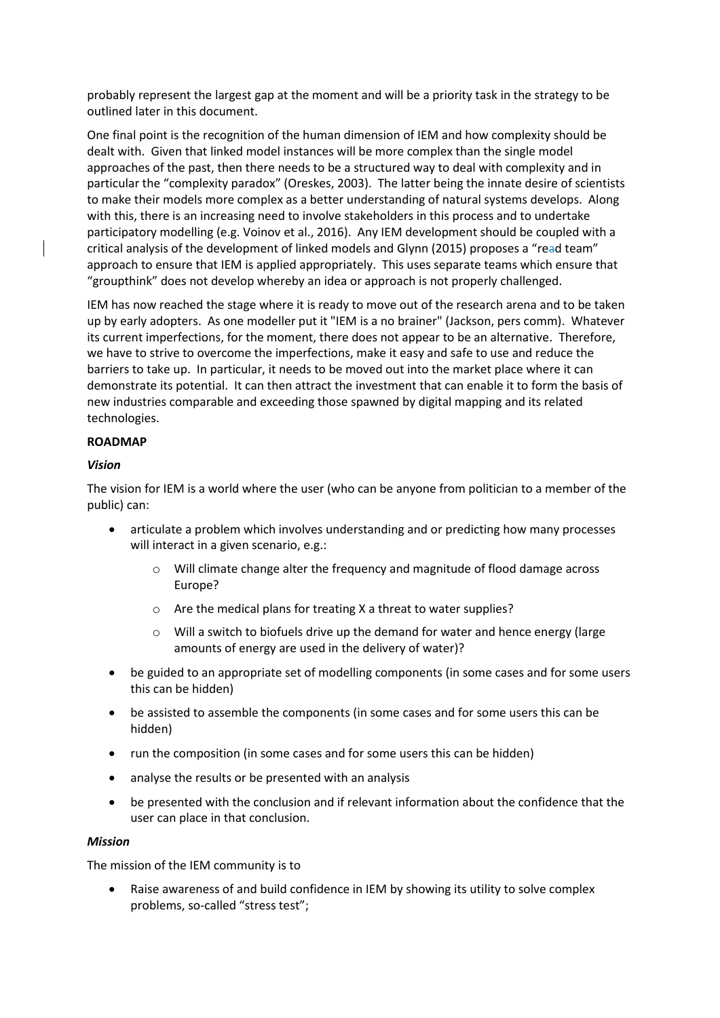probably represent the largest gap at the moment and will be a priority task in the strategy to be outlined later in this document.

One final point is the recognition of the human dimension of IEM and how complexity should be dealt with. Given that linked model instances will be more complex than the single model approaches of the past, then there needs to be a structured way to deal with complexity and in particular the "complexity paradox" (Oreskes, 2003). The latter being the innate desire of scientists to make their models more complex as a better understanding of natural systems develops. Along with this, there is an increasing need to involve stakeholders in this process and to undertake participatory modelling (e.g. Voinov et al., 2016). Any IEM development should be coupled with a critical analysis of the development of linked models and Glynn (2015) proposes a "read team" approach to ensure that IEM is applied appropriately. This uses separate teams which ensure that "groupthink" does not develop whereby an idea or approach is not properly challenged.

IEM has now reached the stage where it is ready to move out of the research arena and to be taken up by early adopters. As one modeller put it "IEM is a no brainer" (Jackson, pers comm). Whatever its current imperfections, for the moment, there does not appear to be an alternative. Therefore, we have to strive to overcome the imperfections, make it easy and safe to use and reduce the barriers to take up. In particular, it needs to be moved out into the market place where it can demonstrate its potential. It can then attract the investment that can enable it to form the basis of new industries comparable and exceeding those spawned by digital mapping and its related technologies.

## **ROADMAP**

#### *Vision*

The vision for IEM is a world where the user (who can be anyone from politician to a member of the public) can:

- articulate a problem which involves understanding and or predicting how many processes will interact in a given scenario, e.g.:
	- o Will climate change alter the frequency and magnitude of flood damage across Europe?
	- o Are the medical plans for treating X a threat to water supplies?
	- $\circ$  Will a switch to biofuels drive up the demand for water and hence energy (large amounts of energy are used in the delivery of water)?
- be guided to an appropriate set of modelling components (in some cases and for some users this can be hidden)
- be assisted to assemble the components (in some cases and for some users this can be hidden)
- run the composition (in some cases and for some users this can be hidden)
- analyse the results or be presented with an analysis
- be presented with the conclusion and if relevant information about the confidence that the user can place in that conclusion.

#### *Mission*

The mission of the IEM community is to

 Raise awareness of and build confidence in IEM by showing its utility to solve complex problems, so-called "stress test";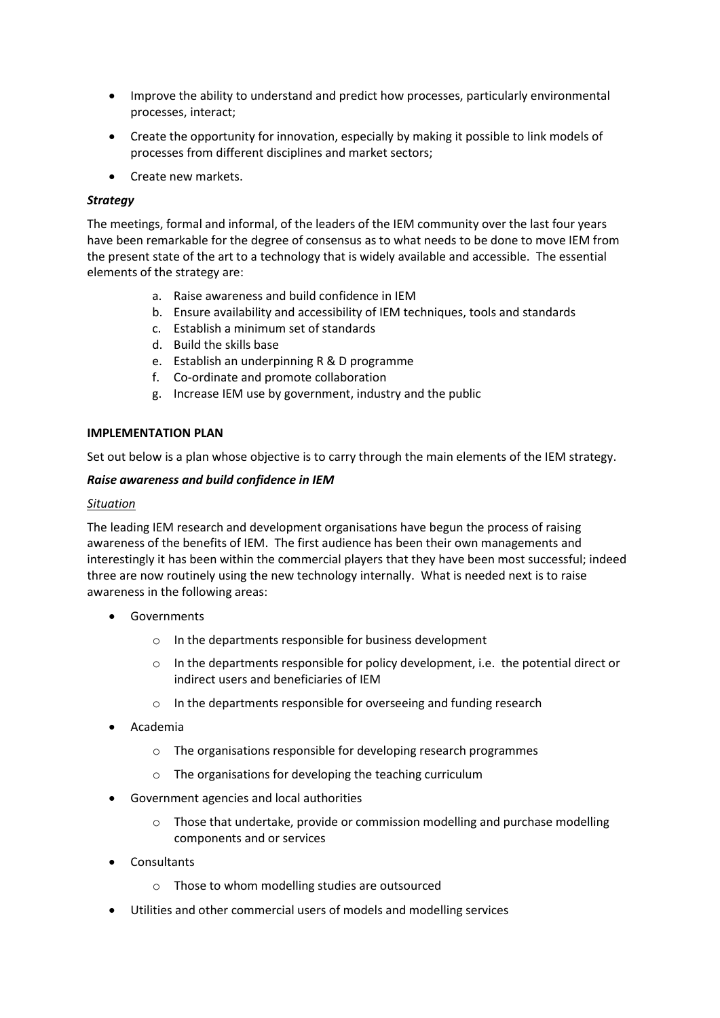- Improve the ability to understand and predict how processes, particularly environmental processes, interact;
- Create the opportunity for innovation, especially by making it possible to link models of processes from different disciplines and market sectors;
- Create new markets.

## *Strategy*

The meetings, formal and informal, of the leaders of the IEM community over the last four years have been remarkable for the degree of consensus as to what needs to be done to move IEM from the present state of the art to a technology that is widely available and accessible. The essential elements of the strategy are:

- a. Raise awareness and build confidence in IEM
- b. Ensure availability and accessibility of IEM techniques, tools and standards
- c. Establish a minimum set of standards
- d. Build the skills base
- e. Establish an underpinning R & D programme
- f. Co-ordinate and promote collaboration
- g. Increase IEM use by government, industry and the public

## **IMPLEMENTATION PLAN**

Set out below is a plan whose objective is to carry through the main elements of the IEM strategy.

## *Raise awareness and build confidence in IEM*

#### *Situation*

The leading IEM research and development organisations have begun the process of raising awareness of the benefits of IEM. The first audience has been their own managements and interestingly it has been within the commercial players that they have been most successful; indeed three are now routinely using the new technology internally. What is needed next is to raise awareness in the following areas:

- Governments
	- o In the departments responsible for business development
	- o In the departments responsible for policy development, i.e. the potential direct or indirect users and beneficiaries of IEM
	- o In the departments responsible for overseeing and funding research
- Academia
	- o The organisations responsible for developing research programmes
	- o The organisations for developing the teaching curriculum
- Government agencies and local authorities
	- o Those that undertake, provide or commission modelling and purchase modelling components and or services
- Consultants
	- o Those to whom modelling studies are outsourced
- Utilities and other commercial users of models and modelling services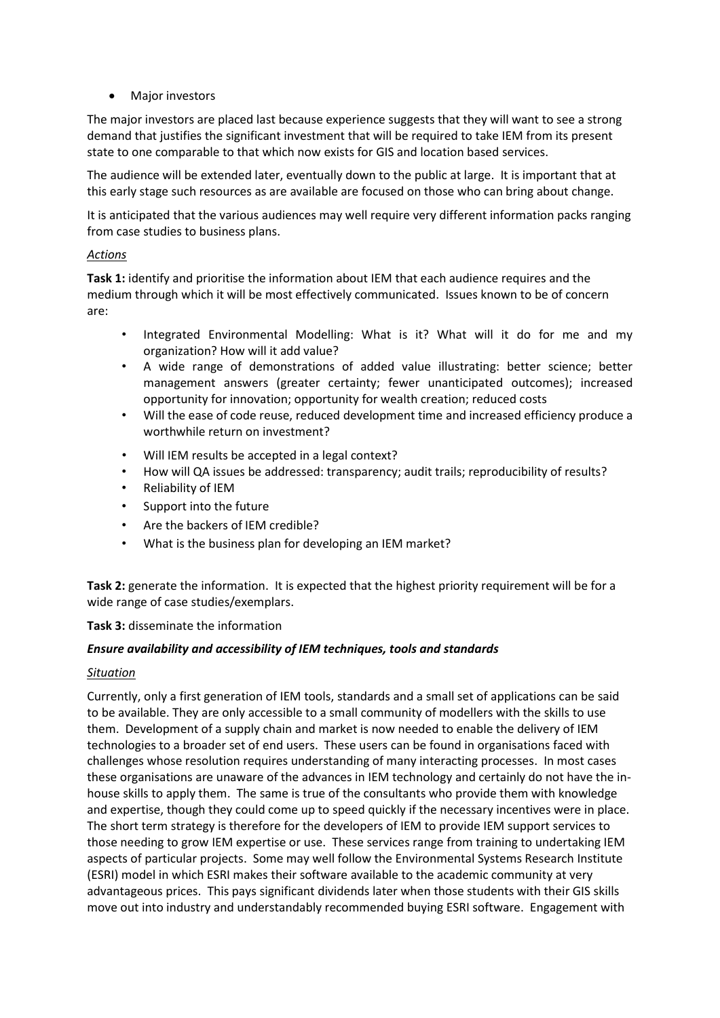Major investors

The major investors are placed last because experience suggests that they will want to see a strong demand that justifies the significant investment that will be required to take IEM from its present state to one comparable to that which now exists for GIS and location based services.

The audience will be extended later, eventually down to the public at large. It is important that at this early stage such resources as are available are focused on those who can bring about change.

It is anticipated that the various audiences may well require very different information packs ranging from case studies to business plans.

## *Actions*

**Task 1:** identify and prioritise the information about IEM that each audience requires and the medium through which it will be most effectively communicated. Issues known to be of concern are:

- Integrated Environmental Modelling: What is it? What will it do for me and my organization? How will it add value?
- A wide range of demonstrations of added value illustrating: better science; better management answers (greater certainty; fewer unanticipated outcomes); increased opportunity for innovation; opportunity for wealth creation; reduced costs
- Will the ease of code reuse, reduced development time and increased efficiency produce a worthwhile return on investment?
- Will IEM results be accepted in a legal context?
- How will QA issues be addressed: transparency; audit trails; reproducibility of results?
- Reliability of IEM
- Support into the future
- Are the backers of IEM credible?
- What is the business plan for developing an IEM market?

**Task 2:** generate the information. It is expected that the highest priority requirement will be for a wide range of case studies/exemplars.

## **Task 3:** disseminate the information

## *Ensure availability and accessibility of IEM techniques, tools and standards*

## *Situation*

Currently, only a first generation of IEM tools, standards and a small set of applications can be said to be available. They are only accessible to a small community of modellers with the skills to use them. Development of a supply chain and market is now needed to enable the delivery of IEM technologies to a broader set of end users. These users can be found in organisations faced with challenges whose resolution requires understanding of many interacting processes. In most cases these organisations are unaware of the advances in IEM technology and certainly do not have the inhouse skills to apply them. The same is true of the consultants who provide them with knowledge and expertise, though they could come up to speed quickly if the necessary incentives were in place. The short term strategy is therefore for the developers of IEM to provide IEM support services to those needing to grow IEM expertise or use. These services range from training to undertaking IEM aspects of particular projects. Some may well follow the Environmental Systems Research Institute (ESRI) model in which ESRI makes their software available to the academic community at very advantageous prices. This pays significant dividends later when those students with their GIS skills move out into industry and understandably recommended buying ESRI software. Engagement with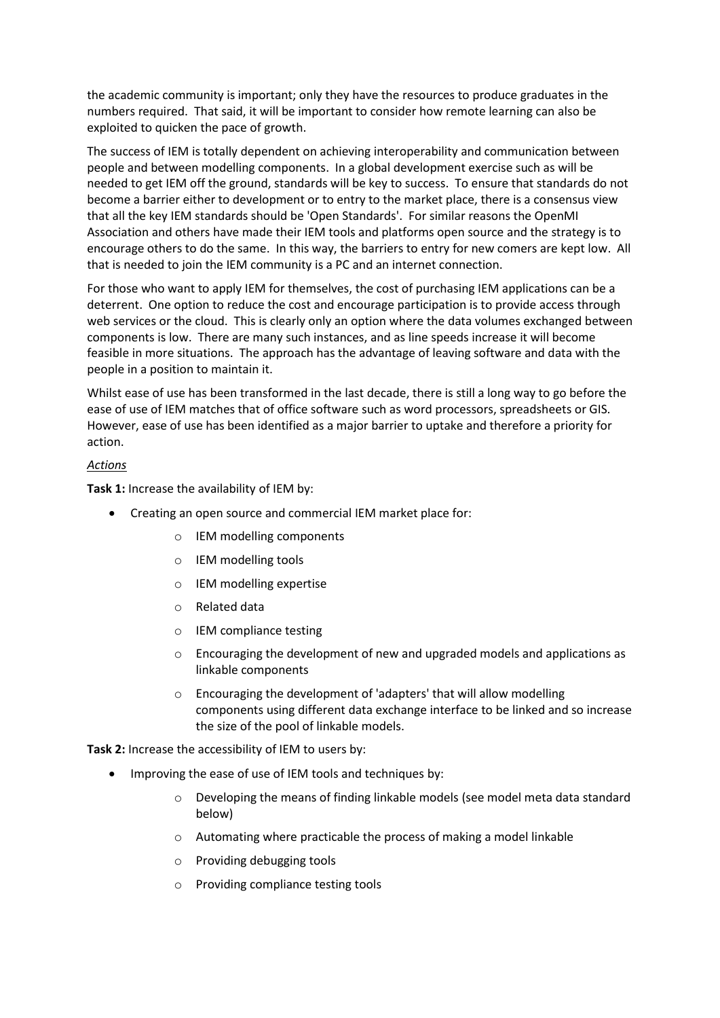the academic community is important; only they have the resources to produce graduates in the numbers required. That said, it will be important to consider how remote learning can also be exploited to quicken the pace of growth.

The success of IEM is totally dependent on achieving interoperability and communication between people and between modelling components. In a global development exercise such as will be needed to get IEM off the ground, standards will be key to success. To ensure that standards do not become a barrier either to development or to entry to the market place, there is a consensus view that all the key IEM standards should be 'Open Standards'. For similar reasons the OpenMI Association and others have made their IEM tools and platforms open source and the strategy is to encourage others to do the same. In this way, the barriers to entry for new comers are kept low. All that is needed to join the IEM community is a PC and an internet connection.

For those who want to apply IEM for themselves, the cost of purchasing IEM applications can be a deterrent. One option to reduce the cost and encourage participation is to provide access through web services or the cloud. This is clearly only an option where the data volumes exchanged between components is low. There are many such instances, and as line speeds increase it will become feasible in more situations. The approach has the advantage of leaving software and data with the people in a position to maintain it.

Whilst ease of use has been transformed in the last decade, there is still a long way to go before the ease of use of IEM matches that of office software such as word processors, spreadsheets or GIS. However, ease of use has been identified as a major barrier to uptake and therefore a priority for action.

#### *Actions*

**Task 1:** Increase the availability of IEM by:

- Creating an open source and commercial IEM market place for:
	- o IEM modelling components
	- o IEM modelling tools
	- o IEM modelling expertise
	- o Related data
	- o IEM compliance testing
	- o Encouraging the development of new and upgraded models and applications as linkable components
	- o Encouraging the development of 'adapters' that will allow modelling components using different data exchange interface to be linked and so increase the size of the pool of linkable models.

**Task 2:** Increase the accessibility of IEM to users by:

- Improving the ease of use of IEM tools and techniques by:
	- o Developing the means of finding linkable models (see model meta data standard below)
	- o Automating where practicable the process of making a model linkable
	- o Providing debugging tools
	- o Providing compliance testing tools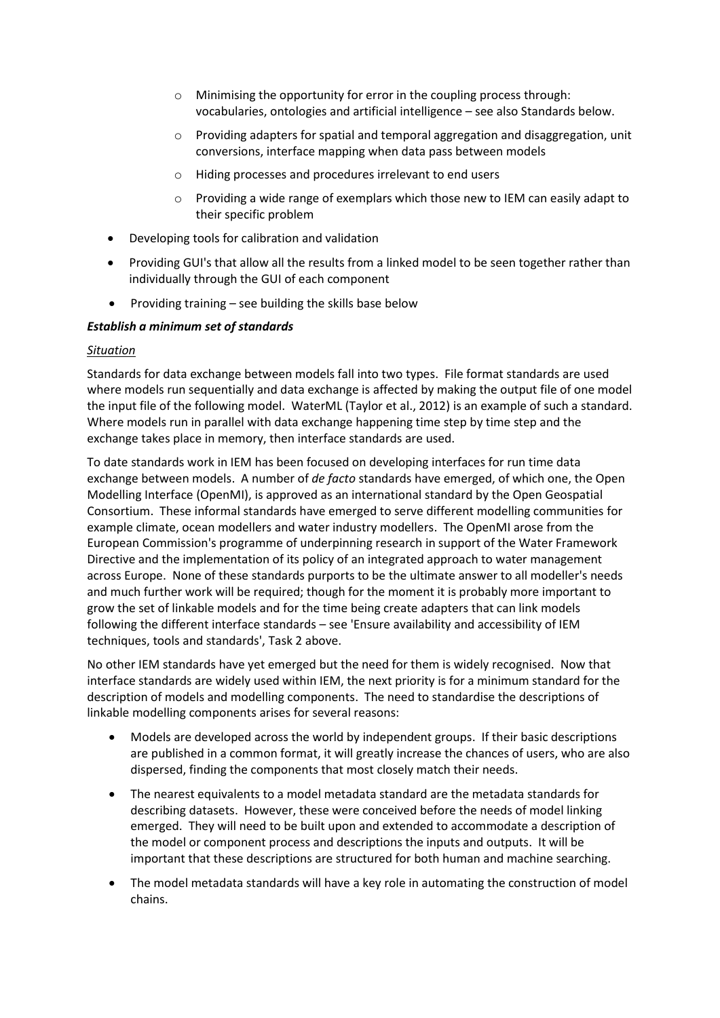- o Minimising the opportunity for error in the coupling process through: vocabularies, ontologies and artificial intelligence – see also Standards below.
- $\circ$  Providing adapters for spatial and temporal aggregation and disaggregation, unit conversions, interface mapping when data pass between models
- o Hiding processes and procedures irrelevant to end users
- $\circ$  Providing a wide range of exemplars which those new to IEM can easily adapt to their specific problem
- Developing tools for calibration and validation
- Providing GUI's that allow all the results from a linked model to be seen together rather than individually through the GUI of each component
- Providing training  $-$  see building the skills base below

## *Establish a minimum set of standards*

## *Situation*

Standards for data exchange between models fall into two types. File format standards are used where models run sequentially and data exchange is affected by making the output file of one model the input file of the following model. WaterML (Taylor et al., 2012) is an example of such a standard. Where models run in parallel with data exchange happening time step by time step and the exchange takes place in memory, then interface standards are used.

To date standards work in IEM has been focused on developing interfaces for run time data exchange between models. A number of *de facto* standards have emerged, of which one, the Open Modelling Interface (OpenMI), is approved as an international standard by the Open Geospatial Consortium. These informal standards have emerged to serve different modelling communities for example climate, ocean modellers and water industry modellers. The OpenMI arose from the European Commission's programme of underpinning research in support of the Water Framework Directive and the implementation of its policy of an integrated approach to water management across Europe. None of these standards purports to be the ultimate answer to all modeller's needs and much further work will be required; though for the moment it is probably more important to grow the set of linkable models and for the time being create adapters that can link models following the different interface standards – see 'Ensure availability and accessibility of IEM techniques, tools and standards', Task 2 above.

No other IEM standards have yet emerged but the need for them is widely recognised. Now that interface standards are widely used within IEM, the next priority is for a minimum standard for the description of models and modelling components. The need to standardise the descriptions of linkable modelling components arises for several reasons:

- Models are developed across the world by independent groups. If their basic descriptions are published in a common format, it will greatly increase the chances of users, who are also dispersed, finding the components that most closely match their needs.
- The nearest equivalents to a model metadata standard are the metadata standards for describing datasets. However, these were conceived before the needs of model linking emerged. They will need to be built upon and extended to accommodate a description of the model or component process and descriptions the inputs and outputs. It will be important that these descriptions are structured for both human and machine searching.
- The model metadata standards will have a key role in automating the construction of model chains.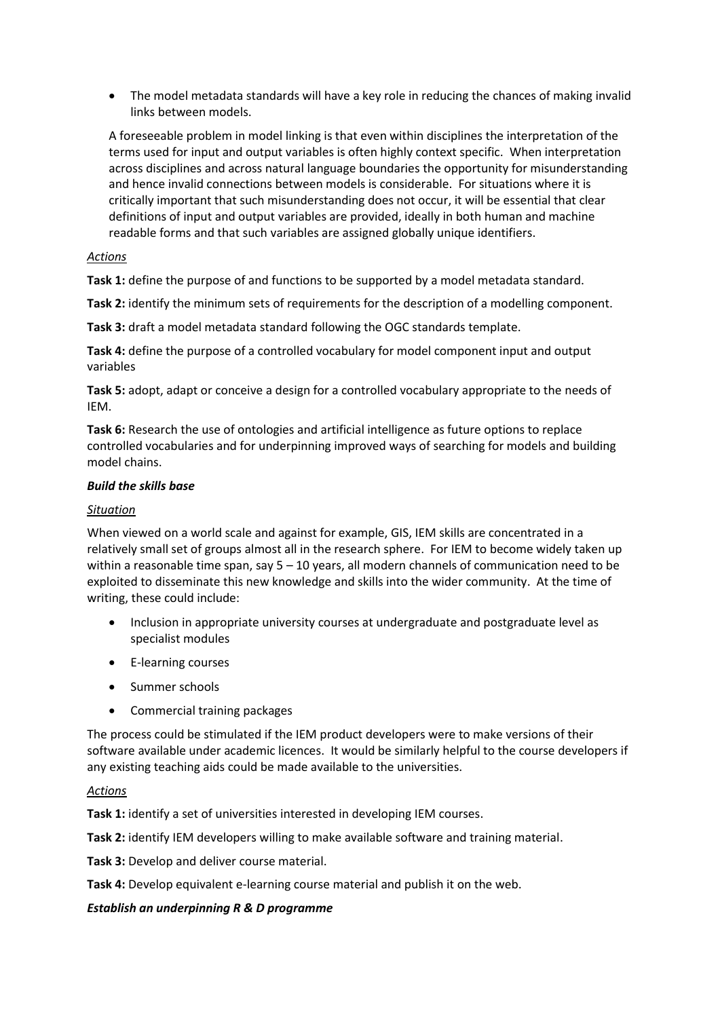The model metadata standards will have a key role in reducing the chances of making invalid links between models.

A foreseeable problem in model linking is that even within disciplines the interpretation of the terms used for input and output variables is often highly context specific. When interpretation across disciplines and across natural language boundaries the opportunity for misunderstanding and hence invalid connections between models is considerable. For situations where it is critically important that such misunderstanding does not occur, it will be essential that clear definitions of input and output variables are provided, ideally in both human and machine readable forms and that such variables are assigned globally unique identifiers.

## *Actions*

**Task 1:** define the purpose of and functions to be supported by a model metadata standard.

**Task 2:** identify the minimum sets of requirements for the description of a modelling component.

**Task 3:** draft a model metadata standard following the OGC standards template.

**Task 4:** define the purpose of a controlled vocabulary for model component input and output variables

**Task 5:** adopt, adapt or conceive a design for a controlled vocabulary appropriate to the needs of IEM.

**Task 6:** Research the use of ontologies and artificial intelligence as future options to replace controlled vocabularies and for underpinning improved ways of searching for models and building model chains.

## *Build the skills base*

#### *Situation*

When viewed on a world scale and against for example, GIS, IEM skills are concentrated in a relatively small set of groups almost all in the research sphere. For IEM to become widely taken up within a reasonable time span, say  $5 - 10$  years, all modern channels of communication need to be exploited to disseminate this new knowledge and skills into the wider community. At the time of writing, these could include:

- Inclusion in appropriate university courses at undergraduate and postgraduate level as specialist modules
- E-learning courses
- Summer schools
- Commercial training packages

The process could be stimulated if the IEM product developers were to make versions of their software available under academic licences. It would be similarly helpful to the course developers if any existing teaching aids could be made available to the universities.

## *Actions*

**Task 1:** identify a set of universities interested in developing IEM courses.

**Task 2:** identify IEM developers willing to make available software and training material.

**Task 3:** Develop and deliver course material.

**Task 4:** Develop equivalent e-learning course material and publish it on the web.

## *Establish an underpinning R & D programme*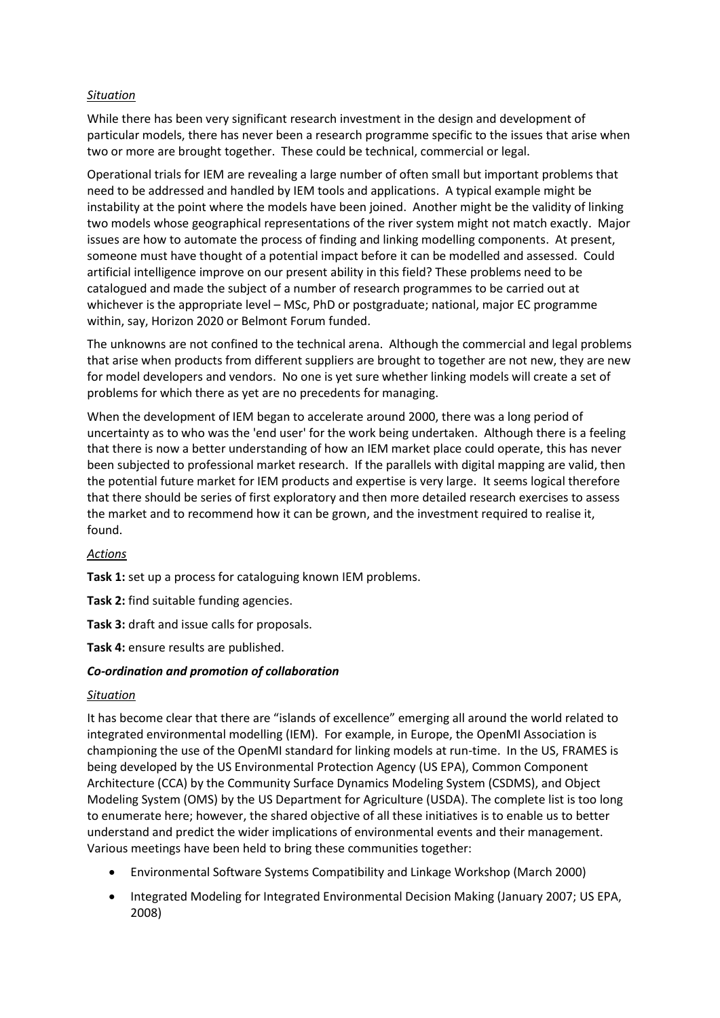## *Situation*

While there has been very significant research investment in the design and development of particular models, there has never been a research programme specific to the issues that arise when two or more are brought together. These could be technical, commercial or legal.

Operational trials for IEM are revealing a large number of often small but important problems that need to be addressed and handled by IEM tools and applications. A typical example might be instability at the point where the models have been joined. Another might be the validity of linking two models whose geographical representations of the river system might not match exactly. Major issues are how to automate the process of finding and linking modelling components. At present, someone must have thought of a potential impact before it can be modelled and assessed. Could artificial intelligence improve on our present ability in this field? These problems need to be catalogued and made the subject of a number of research programmes to be carried out at whichever is the appropriate level – MSc, PhD or postgraduate; national, major EC programme within, say, Horizon 2020 or Belmont Forum funded.

The unknowns are not confined to the technical arena. Although the commercial and legal problems that arise when products from different suppliers are brought to together are not new, they are new for model developers and vendors. No one is yet sure whether linking models will create a set of problems for which there as yet are no precedents for managing.

When the development of IEM began to accelerate around 2000, there was a long period of uncertainty as to who was the 'end user' for the work being undertaken. Although there is a feeling that there is now a better understanding of how an IEM market place could operate, this has never been subjected to professional market research. If the parallels with digital mapping are valid, then the potential future market for IEM products and expertise is very large. It seems logical therefore that there should be series of first exploratory and then more detailed research exercises to assess the market and to recommend how it can be grown, and the investment required to realise it, found.

## *Actions*

**Task 1:** set up a process for cataloguing known IEM problems.

**Task 2:** find suitable funding agencies.

**Task 3:** draft and issue calls for proposals.

**Task 4:** ensure results are published.

## *Co-ordination and promotion of collaboration*

## *Situation*

It has become clear that there are "islands of excellence" emerging all around the world related to integrated environmental modelling (IEM). For example, in Europe, the OpenMI Association is championing the use of the OpenMI standard for linking models at run-time. In the US, FRAMES is being developed by the US Environmental Protection Agency (US EPA), Common Component Architecture (CCA) by the Community Surface Dynamics Modeling System (CSDMS), and Object Modeling System (OMS) by the US Department for Agriculture (USDA). The complete list is too long to enumerate here; however, the shared objective of all these initiatives is to enable us to better understand and predict the wider implications of environmental events and their management. Various meetings have been held to bring these communities together:

- Environmental Software Systems Compatibility and Linkage Workshop (March 2000)
- Integrated Modeling for Integrated Environmental Decision Making (January 2007; US EPA, 2008)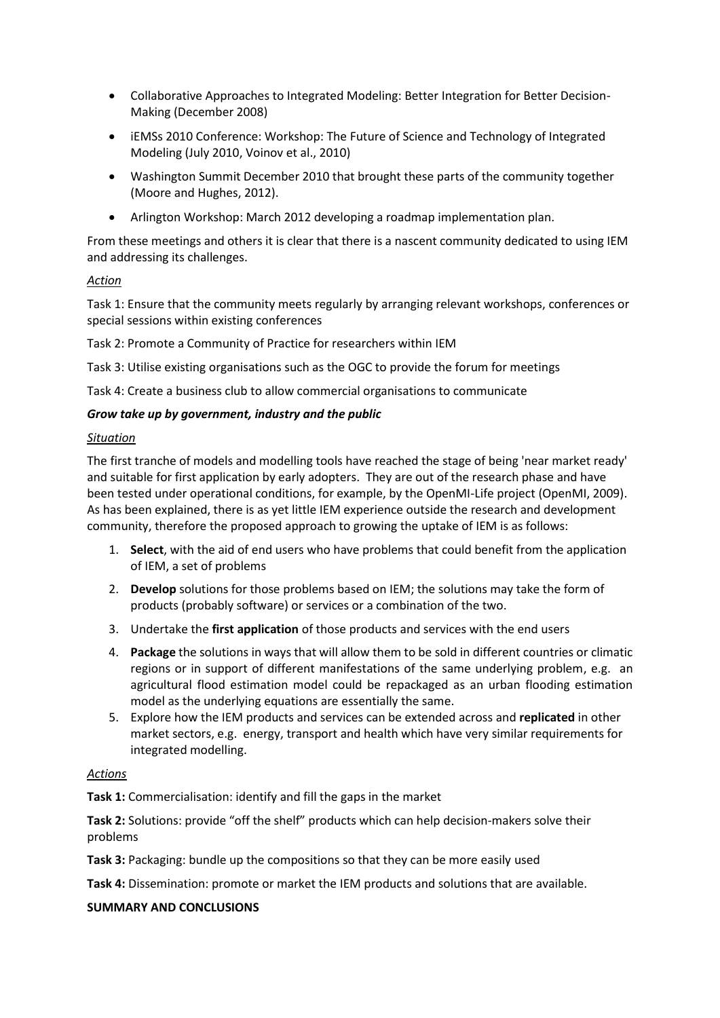- Collaborative Approaches to Integrated Modeling: Better Integration for Better Decision-Making (December 2008)
- iEMSs 2010 Conference: Workshop: The Future of Science and Technology of Integrated Modeling (July 2010, Voinov et al., 2010)
- Washington Summit December 2010 that brought these parts of the community together (Moore and Hughes, 2012).
- Arlington Workshop: March 2012 developing a roadmap implementation plan.

From these meetings and others it is clear that there is a nascent community dedicated to using IEM and addressing its challenges.

## *Action*

Task 1: Ensure that the community meets regularly by arranging relevant workshops, conferences or special sessions within existing conferences

Task 2: Promote a Community of Practice for researchers within IEM

Task 3: Utilise existing organisations such as the OGC to provide the forum for meetings

Task 4: Create a business club to allow commercial organisations to communicate

## *Grow take up by government, industry and the public*

## *Situation*

The first tranche of models and modelling tools have reached the stage of being 'near market ready' and suitable for first application by early adopters. They are out of the research phase and have been tested under operational conditions, for example, by the OpenMI-Life project (OpenMI, 2009). As has been explained, there is as yet little IEM experience outside the research and development community, therefore the proposed approach to growing the uptake of IEM is as follows:

- 1. **Select**, with the aid of end users who have problems that could benefit from the application of IEM, a set of problems
- 2. **Develop** solutions for those problems based on IEM; the solutions may take the form of products (probably software) or services or a combination of the two.
- 3. Undertake the **first application** of those products and services with the end users
- 4. **Package** the solutions in ways that will allow them to be sold in different countries or climatic regions or in support of different manifestations of the same underlying problem, e.g. an agricultural flood estimation model could be repackaged as an urban flooding estimation model as the underlying equations are essentially the same.
- 5. Explore how the IEM products and services can be extended across and **replicated** in other market sectors, e.g. energy, transport and health which have very similar requirements for integrated modelling.

## *Actions*

**Task 1:** Commercialisation: identify and fill the gaps in the market

**Task 2:** Solutions: provide "off the shelf" products which can help decision-makers solve their problems

**Task 3:** Packaging: bundle up the compositions so that they can be more easily used

**Task 4:** Dissemination: promote or market the IEM products and solutions that are available.

## **SUMMARY AND CONCLUSIONS**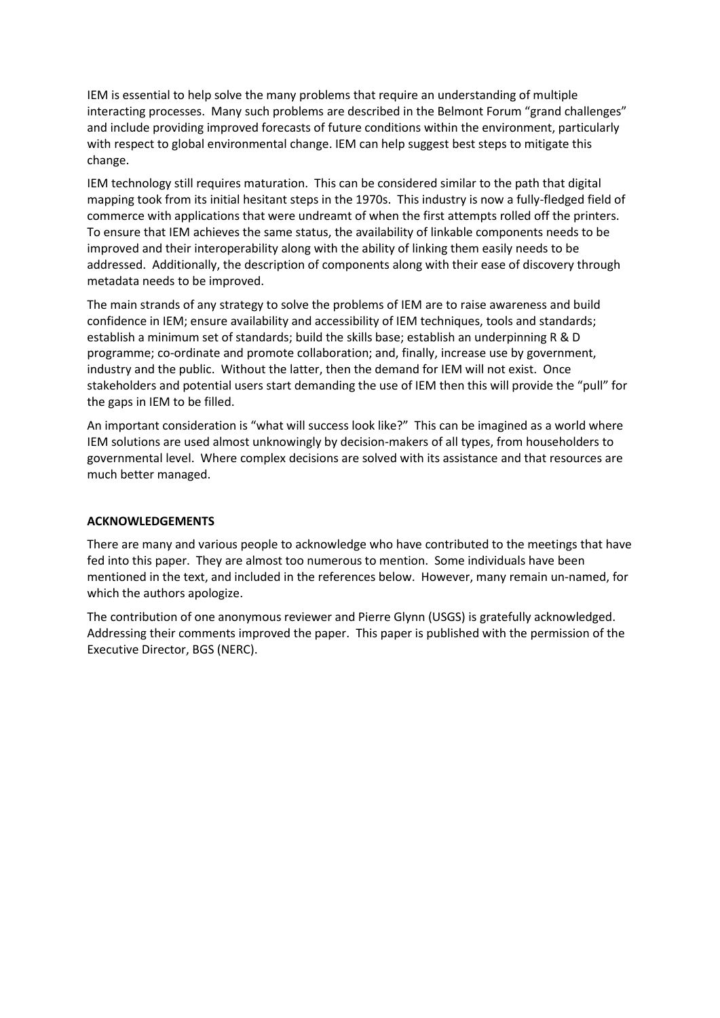IEM is essential to help solve the many problems that require an understanding of multiple interacting processes. Many such problems are described in the Belmont Forum "grand challenges" and include providing improved forecasts of future conditions within the environment, particularly with respect to global environmental change. IEM can help suggest best steps to mitigate this change.

IEM technology still requires maturation. This can be considered similar to the path that digital mapping took from its initial hesitant steps in the 1970s. This industry is now a fully-fledged field of commerce with applications that were undreamt of when the first attempts rolled off the printers. To ensure that IEM achieves the same status, the availability of linkable components needs to be improved and their interoperability along with the ability of linking them easily needs to be addressed. Additionally, the description of components along with their ease of discovery through metadata needs to be improved.

The main strands of any strategy to solve the problems of IEM are to raise awareness and build confidence in IEM; ensure availability and accessibility of IEM techniques, tools and standards; establish a minimum set of standards; build the skills base; establish an underpinning R & D programme; co-ordinate and promote collaboration; and, finally, increase use by government, industry and the public. Without the latter, then the demand for IEM will not exist. Once stakeholders and potential users start demanding the use of IEM then this will provide the "pull" for the gaps in IEM to be filled.

An important consideration is "what will success look like?" This can be imagined as a world where IEM solutions are used almost unknowingly by decision-makers of all types, from householders to governmental level. Where complex decisions are solved with its assistance and that resources are much better managed.

## **ACKNOWLEDGEMENTS**

There are many and various people to acknowledge who have contributed to the meetings that have fed into this paper. They are almost too numerous to mention. Some individuals have been mentioned in the text, and included in the references below. However, many remain un-named, for which the authors apologize.

The contribution of one anonymous reviewer and Pierre Glynn (USGS) is gratefully acknowledged. Addressing their comments improved the paper. This paper is published with the permission of the Executive Director, BGS (NERC).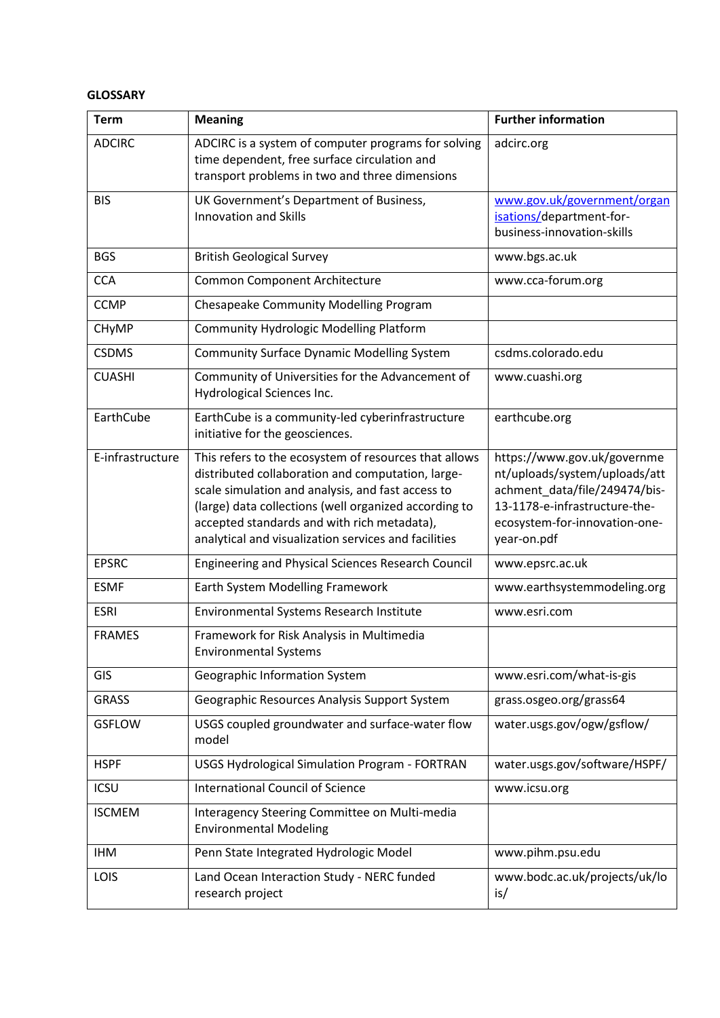### **GLOSSARY**

| <b>Term</b>      | <b>Meaning</b>                                                                                                                                                                                                                                                                                                                  | <b>Further information</b>                                                                                                                                                     |
|------------------|---------------------------------------------------------------------------------------------------------------------------------------------------------------------------------------------------------------------------------------------------------------------------------------------------------------------------------|--------------------------------------------------------------------------------------------------------------------------------------------------------------------------------|
| <b>ADCIRC</b>    | ADCIRC is a system of computer programs for solving<br>time dependent, free surface circulation and<br>transport problems in two and three dimensions                                                                                                                                                                           | adcirc.org                                                                                                                                                                     |
| <b>BIS</b>       | UK Government's Department of Business,                                                                                                                                                                                                                                                                                         | www.gov.uk/government/organ                                                                                                                                                    |
|                  | <b>Innovation and Skills</b>                                                                                                                                                                                                                                                                                                    | isations/department-for-                                                                                                                                                       |
|                  |                                                                                                                                                                                                                                                                                                                                 | business-innovation-skills                                                                                                                                                     |
| <b>BGS</b>       | <b>British Geological Survey</b>                                                                                                                                                                                                                                                                                                | www.bgs.ac.uk                                                                                                                                                                  |
| <b>CCA</b>       | Common Component Architecture                                                                                                                                                                                                                                                                                                   | www.cca-forum.org                                                                                                                                                              |
| <b>CCMP</b>      | <b>Chesapeake Community Modelling Program</b>                                                                                                                                                                                                                                                                                   |                                                                                                                                                                                |
| CHyMP            | Community Hydrologic Modelling Platform                                                                                                                                                                                                                                                                                         |                                                                                                                                                                                |
| <b>CSDMS</b>     | <b>Community Surface Dynamic Modelling System</b>                                                                                                                                                                                                                                                                               | csdms.colorado.edu                                                                                                                                                             |
| <b>CUASHI</b>    | Community of Universities for the Advancement of<br>Hydrological Sciences Inc.                                                                                                                                                                                                                                                  | www.cuashi.org                                                                                                                                                                 |
| EarthCube        | EarthCube is a community-led cyberinfrastructure<br>initiative for the geosciences.                                                                                                                                                                                                                                             | earthcube.org                                                                                                                                                                  |
| E-infrastructure | This refers to the ecosystem of resources that allows<br>distributed collaboration and computation, large-<br>scale simulation and analysis, and fast access to<br>(large) data collections (well organized according to<br>accepted standards and with rich metadata),<br>analytical and visualization services and facilities | https://www.gov.uk/governme<br>nt/uploads/system/uploads/att<br>achment_data/file/249474/bis-<br>13-1178-e-infrastructure-the-<br>ecosystem-for-innovation-one-<br>year-on.pdf |
| <b>EPSRC</b>     | Engineering and Physical Sciences Research Council                                                                                                                                                                                                                                                                              | www.epsrc.ac.uk                                                                                                                                                                |
| <b>ESMF</b>      | Earth System Modelling Framework                                                                                                                                                                                                                                                                                                | www.earthsystemmodeling.org                                                                                                                                                    |
| <b>ESRI</b>      | Environmental Systems Research Institute                                                                                                                                                                                                                                                                                        | www.esri.com                                                                                                                                                                   |
| <b>FRAMES</b>    | Framework for Risk Analysis in Multimedia<br><b>Environmental Systems</b>                                                                                                                                                                                                                                                       |                                                                                                                                                                                |
| GIS              | Geographic Information System                                                                                                                                                                                                                                                                                                   | www.esri.com/what-is-gis                                                                                                                                                       |
| <b>GRASS</b>     | Geographic Resources Analysis Support System                                                                                                                                                                                                                                                                                    | grass.osgeo.org/grass64                                                                                                                                                        |
| <b>GSFLOW</b>    | USGS coupled groundwater and surface-water flow<br>model                                                                                                                                                                                                                                                                        | water.usgs.gov/ogw/gsflow/                                                                                                                                                     |
| <b>HSPF</b>      | <b>USGS Hydrological Simulation Program - FORTRAN</b>                                                                                                                                                                                                                                                                           | water.usgs.gov/software/HSPF/                                                                                                                                                  |
| <b>ICSU</b>      | <b>International Council of Science</b>                                                                                                                                                                                                                                                                                         | www.icsu.org                                                                                                                                                                   |
| <b>ISCMEM</b>    | Interagency Steering Committee on Multi-media<br><b>Environmental Modeling</b>                                                                                                                                                                                                                                                  |                                                                                                                                                                                |
| <b>IHM</b>       | Penn State Integrated Hydrologic Model                                                                                                                                                                                                                                                                                          | www.pihm.psu.edu                                                                                                                                                               |
| <b>LOIS</b>      | Land Ocean Interaction Study - NERC funded<br>research project                                                                                                                                                                                                                                                                  | www.bodc.ac.uk/projects/uk/lo<br>is/                                                                                                                                           |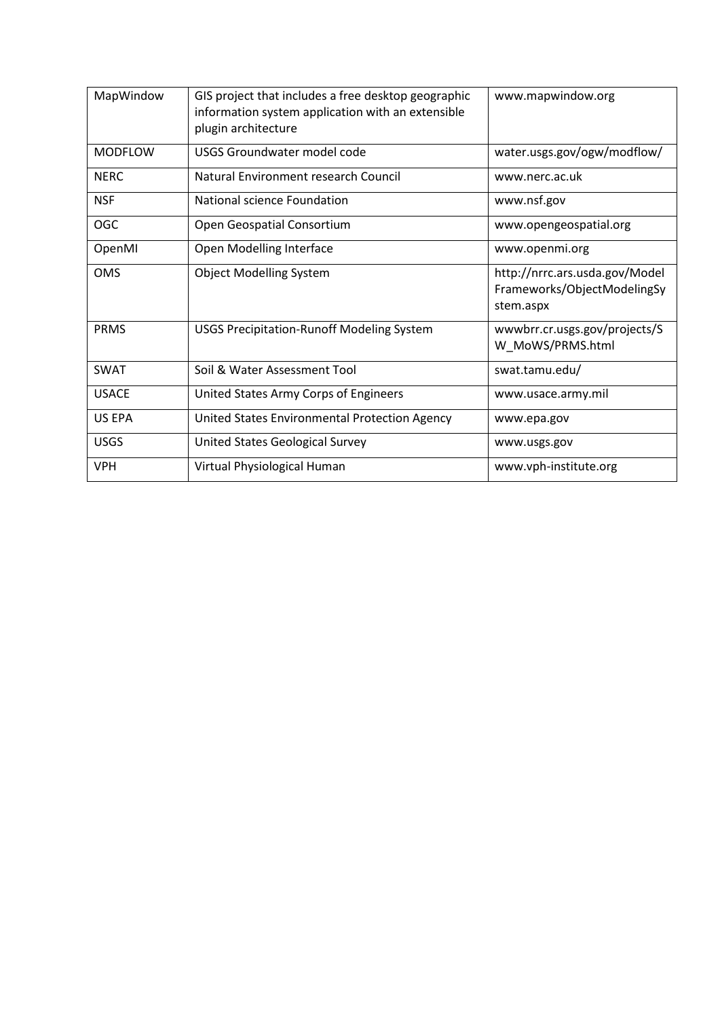| MapWindow      | GIS project that includes a free desktop geographic<br>information system application with an extensible<br>plugin architecture | www.mapwindow.org                                                          |
|----------------|---------------------------------------------------------------------------------------------------------------------------------|----------------------------------------------------------------------------|
| <b>MODFLOW</b> | <b>USGS Groundwater model code</b>                                                                                              | water.usgs.gov/ogw/modflow/                                                |
| <b>NERC</b>    | Natural Environment research Council                                                                                            | www.nerc.ac.uk                                                             |
| <b>NSF</b>     | National science Foundation                                                                                                     | www.nsf.gov                                                                |
| <b>OGC</b>     | Open Geospatial Consortium                                                                                                      | www.opengeospatial.org                                                     |
| OpenMI         | Open Modelling Interface                                                                                                        | www.openmi.org                                                             |
| <b>OMS</b>     | <b>Object Modelling System</b>                                                                                                  | http://nrrc.ars.usda.gov/Model<br>Frameworks/ObjectModelingSy<br>stem.aspx |
| <b>PRMS</b>    | <b>USGS Precipitation-Runoff Modeling System</b>                                                                                | wwwbrr.cr.usgs.gov/projects/S<br>W MoWS/PRMS.html                          |
| <b>SWAT</b>    | Soil & Water Assessment Tool                                                                                                    | swat.tamu.edu/                                                             |
| <b>USACE</b>   | United States Army Corps of Engineers                                                                                           | www.usace.army.mil                                                         |
| <b>US EPA</b>  | United States Environmental Protection Agency                                                                                   | www.epa.gov                                                                |
| <b>USGS</b>    | United States Geological Survey                                                                                                 | www.usgs.gov                                                               |
| <b>VPH</b>     | Virtual Physiological Human                                                                                                     | www.vph-institute.org                                                      |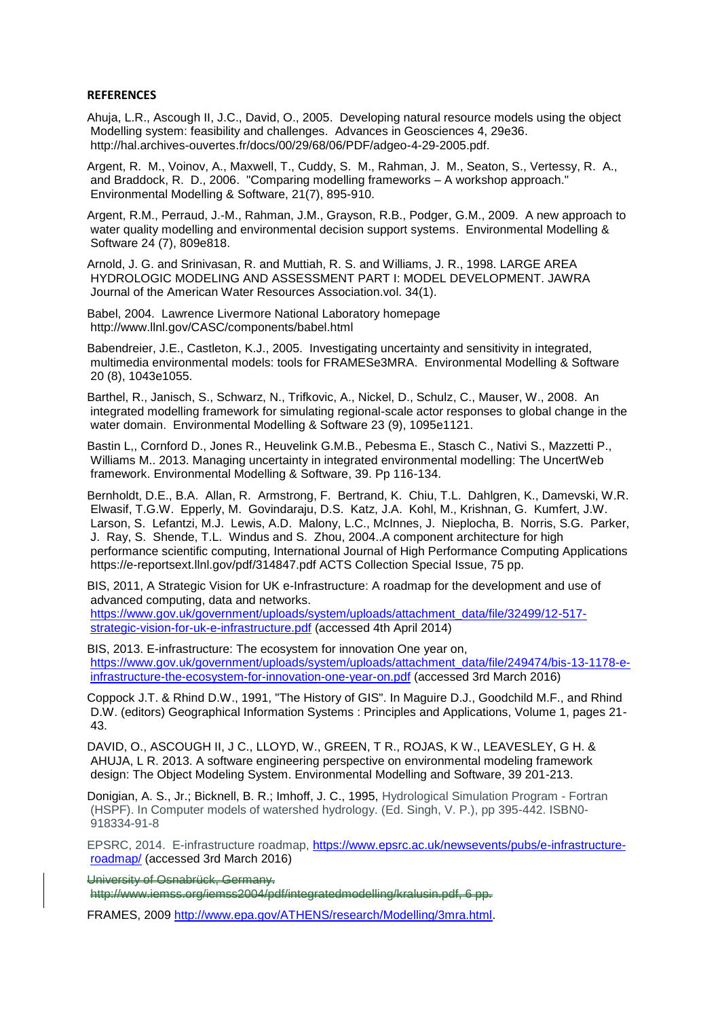#### **REFERENCES**

Ahuja, L.R., Ascough II, J.C., David, O., 2005. Developing natural resource models using the object Modelling system: feasibility and challenges. Advances in Geosciences 4, 29e36. http://hal.archives-ouvertes.fr/docs/00/29/68/06/PDF/adgeo-4-29-2005.pdf.

Argent, R. M., Voinov, A., Maxwell, T., Cuddy, S. M., Rahman, J. M., Seaton, S., Vertessy, R. A., and Braddock, R. D., 2006. "Comparing modelling frameworks – A workshop approach." Environmental Modelling & Software, 21(7), 895-910.

Argent, R.M., Perraud, J.-M., Rahman, J.M., Grayson, R.B., Podger, G.M., 2009. A new approach to water quality modelling and environmental decision support systems. Environmental Modelling & Software 24 (7), 809e818.

Arnold, J. G. and Srinivasan, R. and Muttiah, R. S. and Williams, J. R., 1998. LARGE AREA HYDROLOGIC MODELING AND ASSESSMENT PART I: MODEL DEVELOPMENT. JAWRA Journal of the American Water Resources Association.vol. 34(1).

Babel, 2004. Lawrence Livermore National Laboratory homepage http://www.llnl.gov/CASC/components/babel.html

Babendreier, J.E., Castleton, K.J., 2005. Investigating uncertainty and sensitivity in integrated, multimedia environmental models: tools for FRAMESe3MRA. Environmental Modelling & Software 20 (8), 1043e1055.

Barthel, R., Janisch, S., Schwarz, N., Trifkovic, A., Nickel, D., Schulz, C., Mauser, W., 2008. An integrated modelling framework for simulating regional-scale actor responses to global change in the water domain. Environmental Modelling & Software 23 (9), 1095e1121.

Bastin L,, Cornford D., Jones R., Heuvelink G.M.B., Pebesma E., Stasch C., Nativi S., Mazzetti P., Williams M.. 2013. Managing uncertainty in integrated environmental modelling: The UncertWeb framework. Environmental Modelling & Software, 39. Pp 116-134.

Bernholdt, D.E., B.A. Allan, R. Armstrong, F. Bertrand, K. Chiu, T.L. Dahlgren, K., Damevski, W.R. Elwasif, T.G.W. Epperly, M. Govindaraju, D.S. Katz, J.A. Kohl, M., Krishnan, G. Kumfert, J.W. Larson, S. Lefantzi, M.J. Lewis, A.D. Malony, L.C., McInnes, J. Nieplocha, B. Norris, S.G. Parker, J. Ray, S. Shende, T.L. Windus and S. Zhou, 2004..A component architecture for high performance scientific computing, International Journal of High Performance Computing Applications https://e-reportsext.llnl.gov/pdf/314847.pdf ACTS Collection Special Issue, 75 pp.

BIS, 2011, A Strategic Vision for UK e-Infrastructure: A roadmap for the development and use of advanced computing, data and networks.

[https://www.gov.uk/government/uploads/system/uploads/attachment\\_data/file/32499/12-517](https://www.gov.uk/government/uploads/system/uploads/attachment_data/file/32499/12-517-strategic-vision-for-uk-e-infrastructure.pdf) [strategic-vision-for-uk-e-infrastructure.pdf](https://www.gov.uk/government/uploads/system/uploads/attachment_data/file/32499/12-517-strategic-vision-for-uk-e-infrastructure.pdf) (accessed 4th April 2014)

BIS, 2013. E-infrastructure: The ecosystem for innovation One year on, [https://www.gov.uk/government/uploads/system/uploads/attachment\\_data/file/249474/bis-13-1178-e](https://www.gov.uk/government/uploads/system/uploads/attachment_data/file/249474/bis-13-1178-e-infrastructure-the-ecosystem-for-innovation-one-year-on.pdf)[infrastructure-the-ecosystem-for-innovation-one-year-on.pdf](https://www.gov.uk/government/uploads/system/uploads/attachment_data/file/249474/bis-13-1178-e-infrastructure-the-ecosystem-for-innovation-one-year-on.pdf) (accessed 3rd March 2016)

Coppock J.T. & Rhind D.W., 1991, "The History of GIS". In Maguire D.J., Goodchild M.F., and Rhind D.W. (editors) Geographical Information Systems : Principles and Applications, Volume 1, pages 21- 43.

DAVID, O., ASCOUGH II, J C., LLOYD, W., GREEN, T R., ROJAS, K W., LEAVESLEY, G H. & AHUJA, L R. 2013. A software engineering perspective on environmental modeling framework design: The Object Modeling System. Environmental Modelling and Software, 39 201-213.

Donigian, A. S., Jr.; Bicknell, B. R.; Imhoff, J. C., 1995, Hydrological Simulation Program - Fortran (HSPF). In [Computer models of watershed hydrology.](http://www.cabdirect.org/search.html?q=do%3A%22Computer+models+of+watershed+hydrology.%22) (Ed. Singh, V. P.), pp 395-442. ISBN0- 918334-91-8

EPSRC, 2014. E-infrastructure roadmap, [https://www.epsrc.ac.uk/newsevents/pubs/e-infrastructure](https://www.epsrc.ac.uk/newsevents/pubs/e-infrastructure-roadmap/)[roadmap/](https://www.epsrc.ac.uk/newsevents/pubs/e-infrastructure-roadmap/) (accessed 3rd March 2016)

University of Osnabrück, Germany.

http://www.iemss.org/iemss2004/pdf/integratedmodelling/kralusin.pdf, 6 pp.

FRAMES, 2009 [http://www.epa.gov/ATHENS/research/Modelling/3mra.html.](http://www.epa.gov/ATHENS/research/Modelling/3mra.html)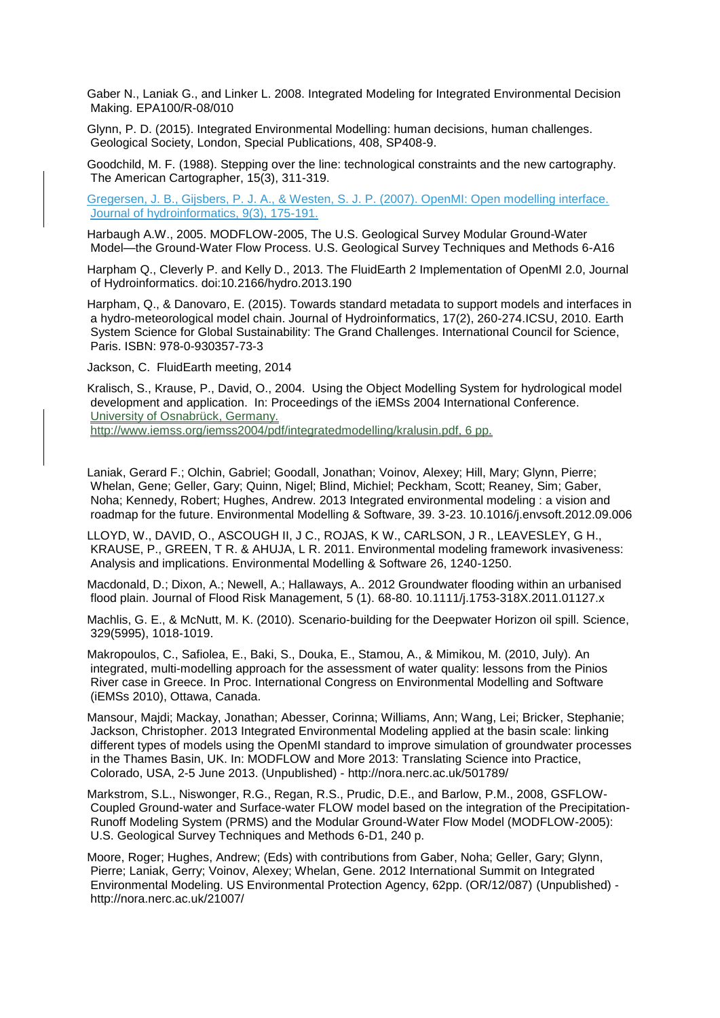Gaber N., Laniak G., and Linker L. 2008. Integrated Modeling for Integrated Environmental Decision Making. EPA100/R-08/010

Glynn, P. D. (2015). Integrated Environmental Modelling: human decisions, human challenges. Geological Society, London, Special Publications, 408, SP408-9.

Goodchild, M. F. (1988). Stepping over the line: technological constraints and the new cartography. The American Cartographer, 15(3), 311-319.

Gregersen, J. B., Gijsbers, P. J. A., & Westen, S. J. P. (2007). OpenMI: Open modelling interface. Journal of hydroinformatics, 9(3), 175-191.

Harbaugh A.W., 2005. MODFLOW-2005, The U.S. Geological Survey Modular Ground-Water Model—the Ground-Water Flow Process. U.S. Geological Survey Techniques and Methods 6-A16

Harpham Q., Cleverly P. and Kelly D., 2013. The FluidEarth 2 Implementation of OpenMI 2.0, Journal of Hydroinformatics. doi:10.2166/hydro.2013.190

Harpham, Q., & Danovaro, E. (2015). Towards standard metadata to support models and interfaces in a hydro-meteorological model chain. Journal of Hydroinformatics, 17(2), 260-274.ICSU, 2010. Earth System Science for Global Sustainability: The Grand Challenges. International Council for Science, Paris. ISBN: 978-0-930357-73-3

Jackson, C. FluidEarth meeting, 2014

Kralisch, S., Krause, P., David, O., 2004. Using the Object Modelling System for hydrological model development and application. In: Proceedings of the iEMSs 2004 International Conference. University of Osnabrück, Germany. http://www.iemss.org/iemss2004/pdf/integratedmodelling/kralusin.pdf, 6 pp.

Laniak, Gerard F.; Olchin, Gabriel; Goodall, Jonathan; Voinov, Alexey; Hill, Mary; Glynn, Pierre; Whelan, Gene; Geller, Gary; Quinn, Nigel; Blind, Michiel; Peckham, Scott; Reaney, Sim; Gaber, Noha; Kennedy, Robert; Hughes, Andrew. 2013 Integrated environmental modeling : a vision and roadmap for the future. Environmental Modelling & Software, 39. 3-23. 10.1016/j.envsoft.2012.09.006

LLOYD, W., DAVID, O., ASCOUGH II, J C., ROJAS, K W., CARLSON, J R., LEAVESLEY, G H., KRAUSE, P., GREEN, T R. & AHUJA, L R. 2011. Environmental modeling framework invasiveness: Analysis and implications. Environmental Modelling & Software 26, 1240-1250.

Macdonald, D.; Dixon, A.; Newell, A.; Hallaways, A.. 2012 Groundwater flooding within an urbanised flood plain. Journal of Flood Risk Management, 5 (1). 68-80. 10.1111/j.1753-318X.2011.01127.x

Machlis, G. E., & McNutt, M. K. (2010). Scenario-building for the Deepwater Horizon oil spill. Science, 329(5995), 1018-1019.

Makropoulos, C., Safiolea, E., Baki, S., Douka, E., Stamou, A., & Mimikou, M. (2010, July). An integrated, multi-modelling approach for the assessment of water quality: lessons from the Pinios River case in Greece. In Proc. International Congress on Environmental Modelling and Software (iEMSs 2010), Ottawa, Canada.

Mansour, Majdi; Mackay, Jonathan; Abesser, Corinna; Williams, Ann; Wang, Lei; Bricker, Stephanie; Jackson, Christopher. 2013 Integrated Environmental Modeling applied at the basin scale: linking different types of models using the OpenMI standard to improve simulation of groundwater processes in the Thames Basin, UK. In: MODFLOW and More 2013: Translating Science into Practice, Colorado, USA, 2-5 June 2013. (Unpublished) - http://nora.nerc.ac.uk/501789/

Markstrom, S.L., Niswonger, R.G., Regan, R.S., Prudic, D.E., and Barlow, P.M., 2008, GSFLOW-Coupled Ground-water and Surface-water FLOW model based on the integration of the Precipitation-Runoff Modeling System (PRMS) and the Modular Ground-Water Flow Model (MODFLOW-2005): U.S. Geological Survey Techniques and Methods 6-D1, 240 p.

Moore, Roger; Hughes, Andrew; (Eds) with contributions from Gaber, Noha; Geller, Gary; Glynn, Pierre; Laniak, Gerry; Voinov, Alexey; Whelan, Gene. 2012 International Summit on Integrated Environmental Modeling. US Environmental Protection Agency, 62pp. (OR/12/087) (Unpublished) http://nora.nerc.ac.uk/21007/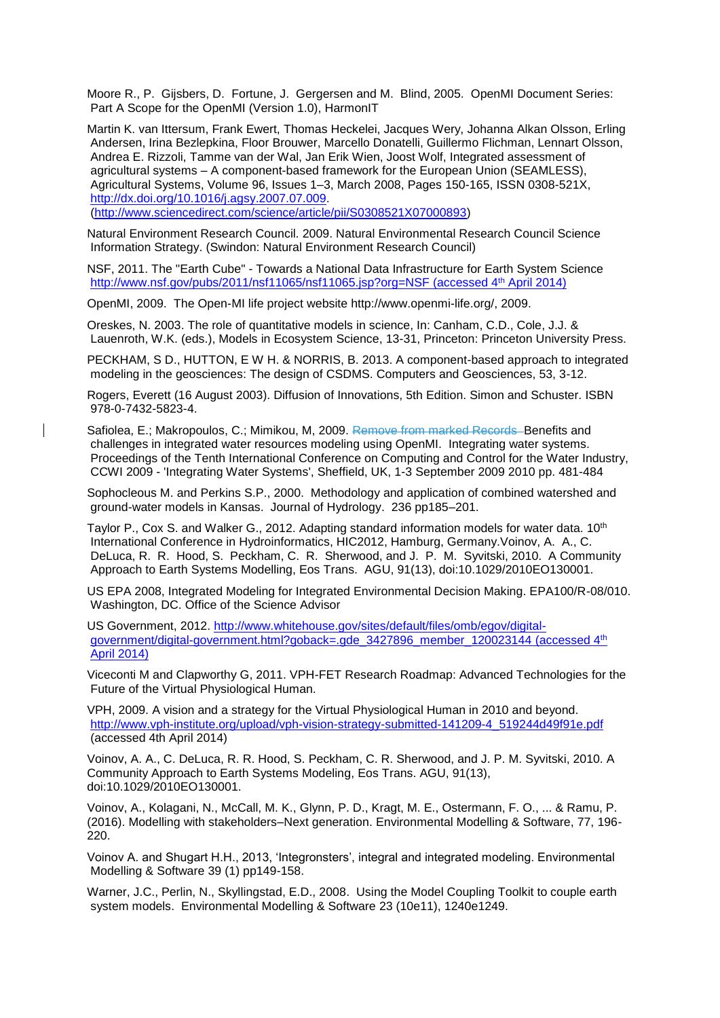Moore R., P. Gijsbers, D. Fortune, J. Gergersen and M. Blind, 2005. OpenMI Document Series: Part A Scope for the OpenMI (Version 1.0), HarmonIT

Martin K. van Ittersum, Frank Ewert, Thomas Heckelei, Jacques Wery, Johanna Alkan Olsson, Erling Andersen, Irina Bezlepkina, Floor Brouwer, Marcello Donatelli, Guillermo Flichman, Lennart Olsson, Andrea E. Rizzoli, Tamme van der Wal, Jan Erik Wien, Joost Wolf, Integrated assessment of agricultural systems – A component-based framework for the European Union (SEAMLESS), Agricultural Systems, Volume 96, Issues 1–3, March 2008, Pages 150-165, ISSN 0308-521X, [http://dx.doi.org/10.1016/j.agsy.2007.07.009.](http://dx.doi.org/10.1016/j.agsy.2007.07.009)

[\(http://www.sciencedirect.com/science/article/pii/S0308521X07000893\)](http://www.sciencedirect.com/science/article/pii/S0308521X07000893)

Natural Environment Research Council. 2009. Natural Environmental Research Council Science Information Strategy. (Swindon: Natural Environment Research Council)

NSF, 2011. The "Earth Cube" - Towards a National Data Infrastructure for Earth System Science <http://www.nsf.gov/pubs/2011/nsf11065/nsf11065.jsp?org=NSF> (accessed 4th April 2014)

OpenMI, 2009. The Open-MI life project website http://www.openmi-life.org/, 2009.

Oreskes, N. 2003. The role of quantitative models in science, In: Canham, C.D., Cole, J.J. & Lauenroth, W.K. (eds.), Models in Ecosystem Science, 13-31, Princeton: Princeton University Press.

PECKHAM, S D., HUTTON, E W H. & NORRIS, B. 2013. A component-based approach to integrated modeling in the geosciences: The design of CSDMS. Computers and Geosciences, 53, 3-12.

Rogers, Everett (16 August 2003). Diffusion of Innovations, 5th Edition. Simon and Schuster. ISBN 978-0-7432-5823-4.

Safiolea, E.; Makropoulos, C.; Mimikou, M, 2009. Remove from marked Records-Benefits and challenges in integrated water resources modeling using OpenMI. Integrating water systems. Proceedings of the Tenth International Conference on Computing and Control for the Water Industry, CCWI 2009 - 'Integrating Water Systems', Sheffield, UK, 1-3 September 2009 2010 pp. 481-484

Sophocleous M. and Perkins S.P., 2000. Methodology and application of combined watershed and ground-water models in Kansas. Journal of Hydrology. 236 pp185–201.

Taylor P., Cox S. and Walker G., 2012. Adapting standard information models for water data. 10<sup>th</sup> International Conference in Hydroinformatics, HIC2012, Hamburg, Germany.Voinov, A. A., C. DeLuca, R. R. Hood, S. Peckham, C. R. Sherwood, and J. P. M. Syvitski, 2010. A Community Approach to Earth Systems Modelling, Eos Trans. AGU, 91(13), doi:10.1029/2010EO130001.

US EPA 2008, Integrated Modeling for Integrated Environmental Decision Making. EPA100/R-08/010. Washington, DC. Office of the Science Advisor

US Government, 2012. [http://www.whitehouse.gov/sites/default/files/omb/egov/digital](https://outlook.leeds.ac.uk/owa/redir.aspx?C=67449ae5aa104c93a8ed22676363bcbb&URL=http%3a%2f%2fwww.whitehouse.gov%2fsites%2fdefault%2ffiles%2fomb%2fegov%2fdigital-government%2fdigital-government.html%3fgoback%3d.gde_3427896_member_120023144)[government/digital-government.html?goback=.gde\\_3427896\\_member\\_120023144](https://outlook.leeds.ac.uk/owa/redir.aspx?C=67449ae5aa104c93a8ed22676363bcbb&URL=http%3a%2f%2fwww.whitehouse.gov%2fsites%2fdefault%2ffiles%2fomb%2fegov%2fdigital-government%2fdigital-government.html%3fgoback%3d.gde_3427896_member_120023144) (accessed 4th April 2014)

Viceconti M and Clapworthy G, 2011. VPH-FET Research Roadmap: Advanced Technologies for the Future of the Virtual Physiological Human.

VPH, 2009. A vision and a strategy for the Virtual Physiological Human in 2010 and beyond. [http://www.vph-institute.org/upload/vph-vision-strategy-submitted-141209-4\\_519244d49f91e.pdf](http://www.vph-institute.org/upload/vph-vision-strategy-submitted-141209-4_519244d49f91e.pdf) (accessed 4th April 2014)

Voinov, A. A., C. DeLuca, R. R. Hood, S. Peckham, C. R. Sherwood, and J. P. M. Syvitski, 2010. A Community Approach to Earth Systems Modeling, Eos Trans. AGU, 91(13), doi:10.1029/2010EO130001.

Voinov, A., Kolagani, N., McCall, M. K., Glynn, P. D., Kragt, M. E., Ostermann, F. O., ... & Ramu, P. (2016). Modelling with stakeholders–Next generation. Environmental Modelling & Software, 77, 196- 220.

Voinov A. and Shugart H.H., 2013, 'Integronsters', integral and integrated modeling. Environmental Modelling & Software 39 (1) pp149-158.

Warner, J.C., Perlin, N., Skyllingstad, E.D., 2008. Using the Model Coupling Toolkit to couple earth system models. Environmental Modelling & Software 23 (10e11), 1240e1249.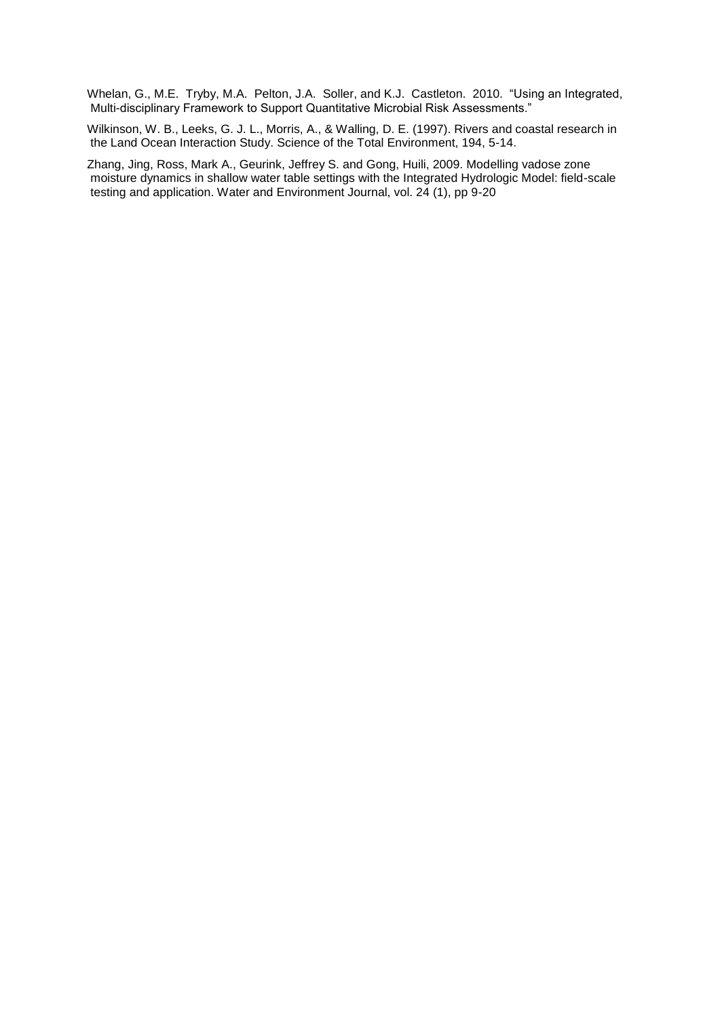Whelan, G., M.E. Tryby, M.A. Pelton, J.A. Soller, and K.J. Castleton. 2010. "Using an Integrated, Multi-disciplinary Framework to Support Quantitative Microbial Risk Assessments."

Wilkinson, W. B., Leeks, G. J. L., Morris, A., & Walling, D. E. (1997). Rivers and coastal research in the Land Ocean Interaction Study. Science of the Total Environment, 194, 5-14.

Zhang, Jing, Ross, Mark A., Geurink, Jeffrey S. and Gong, Huili, 2009. Modelling vadose zone moisture dynamics in shallow water table settings with the Integrated Hydrologic Model: field-scale testing and application. Water and Environment Journal, vol. 24 (1), pp 9-20